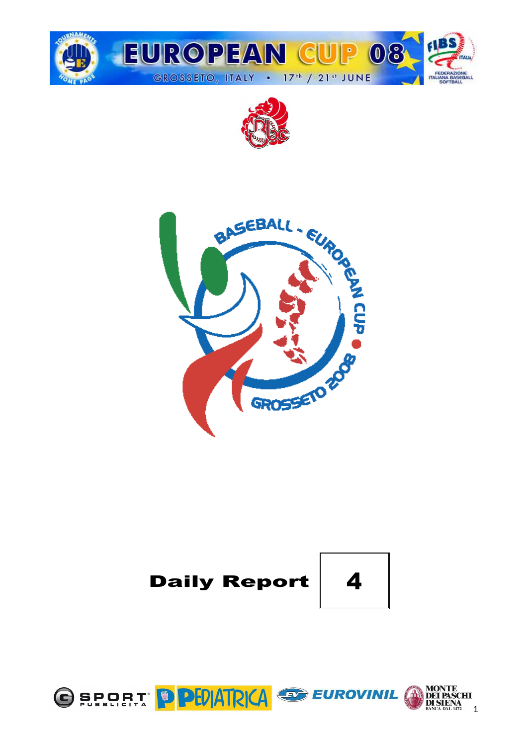







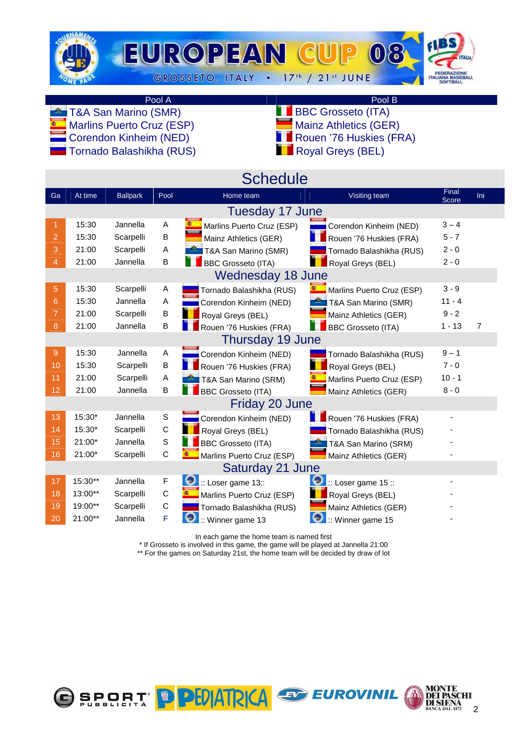

 $\blacksquare$  Corendon Kinheim (NED)  $\blacksquare$  Tornado Balashikha (RUS)

Pool A Pool B<br>
D (SMR) BBC Grosseto (ITA)

- **TAA San Marino (SMR)** BBC Grosseto (ITA)<br>
Marins Puerto Cruz (ESP) BBC Grosseto (GER)
- **Marlins Puerto Cruz (ESP)** Mainz Athletics (GER) Mainz Athletics (GER) Mainz Athletics (GER)
	-

|  | ■■ Royal Greys (BEL) |  |
|--|----------------------|--|
|  |                      |  |

|                |         |                 |             | <b>Schedule</b>             |                           |                |     |
|----------------|---------|-----------------|-------------|-----------------------------|---------------------------|----------------|-----|
| Ga             | At time | <b>Ballpark</b> | Pool        | Home team                   | Visiting team             | Final<br>Score | Inl |
|                |         |                 |             | <b>Tuesday 17 June</b>      |                           |                |     |
| 1              | 15:30   | Jannella        | A           | Marlins Puerto Cruz (ESP)   | Corendon Kinheim (NED)    | $3 - 4$        |     |
| $\overline{2}$ | 15:30   | Scarpelli       | B           | Mainz Athletics (GER)       | Rouen '76 Huskies (FRA)   | $5 - 7$        |     |
| 3              | 21:00   | Scarpelli       | Α           | T&A San Marino (SMR)        | Tornado Balashikha (RUS)  | $2 - 0$        |     |
| 4              | 21:00   | Jannella        | B           | <b>BBC Grosseto (ITA)</b>   | Royal Greys (BEL)         | $2 - 0$        |     |
|                |         |                 |             | Wednesday 18 June           |                           |                |     |
| 5              | 15:30   | Scarpelli       | Α           | Tornado Balashikha (RUS)    | Marlins Puerto Cruz (ESP) | $3 - 9$        |     |
| 6              | 15:30   | Jannella        | Α           | Corendon Kinheim (NED)      | T&A San Marino (SMR)      | $11 - 4$       |     |
| 7              | 21:00   | Scarpelli       | B           | Royal Greys (BEL)           | Mainz Athletics (GER)     | $9 - 2$        |     |
| 8              | 21:00   | Jannella        | B           | Rouen '76 Huskies (FRA)     | <b>BBC Grosseto (ITA)</b> | $1 - 13$       | 7   |
|                |         |                 |             | Thursday 19 June            |                           |                |     |
| 9              | 15:30   | Jannella        | A           | Corendon Kinheim (NED)      | Tornado Balashikha (RUS)  | $9 - 1$        |     |
| 10             | 15:30   | Scarpelli       | B           | Rouen '76 Huskies (FRA)     | Royal Greys (BEL)         | $7 - 0$        |     |
| 11             | 21:00   | Scarpelli       | Α           | T&A San Marino (SRM)        | Marlins Puerto Cruz (ESP) | $10 - 1$       |     |
| 12             | 21:00   | Jannella        | B           | <b>BBC Grosseto (ITA)</b>   | Mainz Athletics (GER)     | $8 - 0$        |     |
|                |         |                 |             | Friday 20 June              |                           |                |     |
| 13             | 15:30*  | Jannella        | $\mathbb S$ | Corendon Kinheim (NED)      | Rouen '76 Huskies (FRA)   |                |     |
| 14             | 15:30*  | Scarpelli       | $\mathsf C$ | Royal Greys (BEL)           | Tornado Balashikha (RUS)  |                |     |
| 15             | 21:00*  | Jannella        | S           | <b>BBC Grosseto (ITA)</b>   | T&A San Marino (SRM)      |                |     |
| 16             | 21:00*  | Scarpelli       | $\mathsf C$ | Marlins Puerto Cruz (ESP)   | Mainz Athletics (GER)     |                |     |
|                |         |                 |             | Saturday 21 June            |                           |                |     |
| 17             | 15:30** | Jannella        | F           | $\bullet$ : Loser game 13:: | $::$ Loser game 15 ::     |                |     |
| 18             | 13:00** | Scarpelli       | C           | Marlins Puerto Cruz (ESP)   | Royal Greys (BEL)         |                |     |
| 19             | 19:00** | Scarpelli       | C           | Tornado Balashikha (RUS)    | Mainz Athletics (GER)     |                |     |
| 20             | 21:00** | Jannella        | F           | G<br>:: Winner game 13      | 0<br>:: Winner game 15    |                |     |

In each game the home team is named first

\* If Grosseto is involved in this game, the game will be played at Jannella 21:00

\*\* For the games on Saturday 21st, the home team will be decided by draw of lot

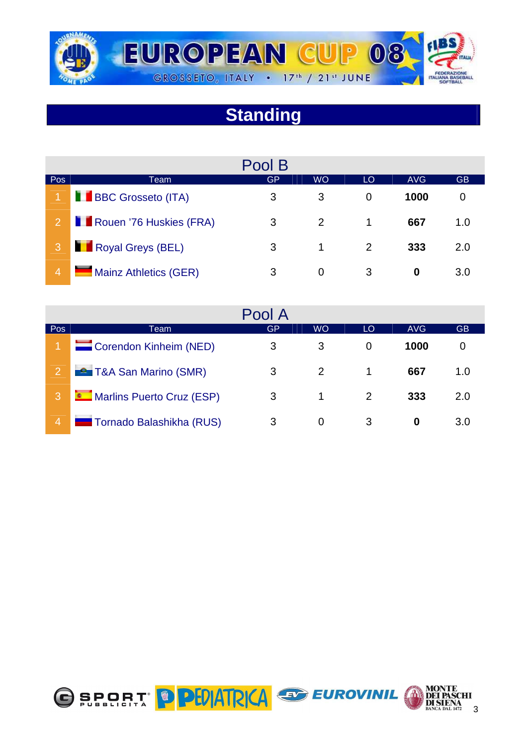

# **Standing**

|                |                           | Pool B |           |    |            |           |
|----------------|---------------------------|--------|-----------|----|------------|-----------|
| Pos            | Team                      | GP     | <b>WO</b> | LO | <b>AVG</b> | <b>GB</b> |
|                | <b>BBC Grosseto (ITA)</b> | 3      | 3         | 0  | 1000       |           |
| $\overline{2}$ | Rouen '76 Huskies (FRA)   | 3      | 2         | 1. | 667        | 1.0       |
|                | Royal Greys (BEL)         | 3      | 1         | 2  | 333        | 2.0       |
| $\overline{4}$ | Mainz Athletics (GER)     | 3      | 0         | 3  | 0          | 3.0       |

|                |                               | Pool A |               |    |      |           |
|----------------|-------------------------------|--------|---------------|----|------|-----------|
| Pos            | Team                          | GP     | <b>WO</b>     | LO | AVG  | <b>GB</b> |
|                | Corendon Kinheim (NED)        | 3      | 3             | 0  | 1000 | O         |
| $\overline{2}$ | <b>E</b> T&A San Marino (SMR) | 3      | $\mathcal{P}$ |    | 667  | 1.0       |
| 3              | Marlins Puerto Cruz (ESP)     | 3      |               |    | 333  | 2.0       |
| $\overline{4}$ | Tornado Balashikha (RUS)      | 3      | 0             | 3  | 0    | 3.0       |

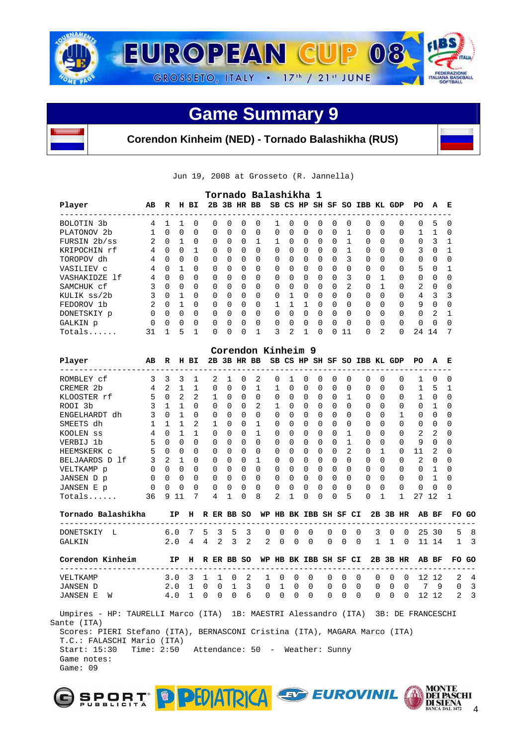



**Corendon Kinheim (NED) - Tornado Balashikha (RUS)** 

Jun 19, 2008 at Grosseto (R. Jannella)

|                       |          |          |          |          |          |          |              | Tornado Balashikha 1 |          |              |          |              |              |              |                     |              |          |                |          |          |
|-----------------------|----------|----------|----------|----------|----------|----------|--------------|----------------------|----------|--------------|----------|--------------|--------------|--------------|---------------------|--------------|----------|----------------|----------|----------|
| Player                | AB       | R        | н        | вI       |          |          |              | 2B 3B HR BB          |          | SB CS HP     |          |              |              |              | SH SF SO IBB KL GDP |              |          | PO.            | A        | E        |
| BOLOTIN <sub>3b</sub> | 4        |          |          | $\Omega$ | $\Omega$ | $\cap$   | $\Omega$     | $\Omega$             |          | <sup>0</sup> | $\Omega$ | $\Omega$     | $\Omega$     | <sup>0</sup> | $\Omega$            | 0            | $\Omega$ | 0              | 5        | $\Omega$ |
| PLATONOV 2b           |          | 0        | 0        | $\Omega$ | $\Omega$ | $\Omega$ | $\Omega$     | 0                    | $\Omega$ | $\Omega$     | $\Omega$ | 0            | $\Omega$     |              | $\Omega$            | $\Omega$     | $\Omega$ |                |          | $\Omega$ |
| FURSIN 2b/ss          | 2        | $\Omega$ |          | $\Omega$ | $\Omega$ | $\Omega$ | $\Omega$     |                      |          | <sup>0</sup> | $\Omega$ | $\Omega$     | $\Omega$     |              | $\Omega$            | <sup>0</sup> | $\Omega$ | 0              | 3        |          |
| KRIPOCHIN rf          | 4        | $\Omega$ | $\Omega$ |          | $\Omega$ | $\cap$   | $\Omega$     | $\Omega$             | $\Omega$ | $\Omega$     | $\Omega$ | $\Omega$     | $\Omega$     |              | $\Omega$            | <sup>0</sup> | $\Omega$ | 3              | $\Omega$ |          |
| TOROPOV dh            | 4        | $\Omega$ | 0        | $\Omega$ | $\Omega$ | $\Omega$ | 0            | $\Omega$             | $\Omega$ | <sup>0</sup> | $\Omega$ | 0            | <sup>0</sup> | 3            | $\Omega$            | 0            | $\Omega$ | $\Omega$       | $\Omega$ | O        |
| VASILIEV C            | 4        | $\Omega$ |          | $\Omega$ | $\Omega$ | $\Omega$ | $\Omega$     | $\Omega$             | $\Omega$ | $\Omega$     | $\Omega$ | $\Omega$     | $\Omega$     | <sup>0</sup> | $\Omega$            | <sup>0</sup> | $\Omega$ | 5              | $\Omega$ |          |
| VASHAKIDZE 1f         | 4        | $\Omega$ | 0        | $\Omega$ | $\Omega$ | $\cap$   | $\Omega$     | $\Omega$             | $\Omega$ | <sup>0</sup> | $\Omega$ | $\Omega$     | $\Omega$     | 3            | $\Omega$            |              | $\Omega$ | 0              | $\Omega$ | O        |
| SAMCHUK cf            |          | $\Omega$ | $\Omega$ | $\Omega$ | $\Omega$ | $\Omega$ | $\Omega$     | $\Omega$             | $\Omega$ | $\cap$       | $\Omega$ | $\Omega$     | $\Omega$     | 2            | $\Omega$            |              | $\Omega$ | $\overline{2}$ | $\Omega$ | O        |
| KULIK ss/2b           | 3        | $\Omega$ |          | $\Omega$ | $\Omega$ | $\Omega$ | $\Omega$     | $\Omega$             | $\Omega$ |              | $\Omega$ | $\Omega$     | $\Omega$     | <sup>0</sup> | $\Omega$            | $\Omega$     | $\Omega$ | 4              | κ        | 3        |
| FEDOROV 1b            | 2        | $\cap$   |          | $\Omega$ | $\Omega$ | $\cap$   | $\cap$       | $\Omega$             |          |              |          | <sup>n</sup> | $\Omega$     | <sup>n</sup> | $\Omega$            | U            | $\Omega$ | 9              | $\cap$   | ∩        |
| DONETSKIY p           | $\Omega$ | $\Omega$ | $\Omega$ | $\Omega$ | $\Omega$ | $\Omega$ | $\Omega$     | $\Omega$             | 0        | $\Omega$     | $\Omega$ | $\Omega$     | $\Omega$     | $\Omega$     | $\Omega$            | 0            | $\Omega$ | $\Omega$       | 2        |          |
| GALKIN p              | $\Omega$ | $\Omega$ | 0        | $\Omega$ | $\Omega$ | $\cap$   | $\Omega$     | $\Omega$             | $\Omega$ | <sup>n</sup> | $\Omega$ | $\Omega$     | $\Omega$     | $\Omega$     | $\Omega$            | <sup>0</sup> | $\Omega$ | 0              | $\cap$   | $\Omega$ |
| Totals                | 31       |          | 5        | 1        | 0        | U        | <sup>0</sup> | 1                    | 3        | 2            |          | $\Omega$     | U            | 11           | $\Omega$            | 2            | $\Omega$ | 24             | 14       | 7        |

|                                                                                   |                                            |          |              |                |                     |                |                     |                | Corendon Kinheim 9                                   |                     |                |                |          |                |                |                |                            |              |                |                 |                |                |  |
|-----------------------------------------------------------------------------------|--------------------------------------------|----------|--------------|----------------|---------------------|----------------|---------------------|----------------|------------------------------------------------------|---------------------|----------------|----------------|----------|----------------|----------------|----------------|----------------------------|--------------|----------------|-----------------|----------------|----------------|--|
| Player                                                                            | AB R H BI                                  |          |              |                |                     |                |                     |                | 2B 3B HR BB SB CS HP SH SF SO IBB KL GDP             |                     |                |                |          |                |                |                |                            |              |                | PO A            |                | Е              |  |
| ROMBLEY cf                                                                        | 3                                          | 3 3      |              | 1              |                     | $\overline{2}$ | $\mathbf{1}$        | $\Omega$       | 2                                                    | 0                   | $\mathbf{1}$   | $\Omega$       | $\Omega$ | $\Omega$       | $\Omega$       |                | $\Omega$                   | $\Omega$     | $\Omega$       |                 | 1 0            | $\Omega$       |  |
| CREMER 2b                                                                         | $4\overline{ }$                            | 2 1      |              |                | $\mathbf{1}$        | $\Omega$       | $\Omega$            | $0\quad1$      |                                                      | ı                   | $\Omega$       | $\Omega$       | $\Omega$ | $\Omega$       | $\Omega$       |                | $\Omega$                   | $\Omega$     | 0              | 1 <sub>5</sub>  |                | 1              |  |
| KLOOSTER rf                                                                       | 5                                          |          | $0\quad 2$   |                | $2 \quad 1$         |                | $\Omega$            | $\Omega$       | $\Omega$                                             | $\Omega$            | $\Omega$       | $\Omega$       | $\Omega$ | $\Omega$       | $\overline{1}$ |                | 0 O                        |              | $\Omega$       |                 | $1 \quad 0$    | $\Omega$       |  |
| ROOI 3b                                                                           | 3                                          |          | $1 \quad 1$  | $\cap$         |                     | $\Omega$       | $\cap$              | $\Omega$       | 2                                                    | 1                   | $\Omega$       | $\Omega$       | $\Omega$ | $\Omega$       | $\Omega$       |                | $\cap$<br>$\bigcap$        |              | $\Omega$       | $0\quad1$       |                | $\Omega$       |  |
| ENGELHARDT dh                                                                     | 3                                          |          | $0 \quad 1$  | $\cap$         | $\Omega$            |                | $\Omega$            | $\cap$         | $\Omega$                                             | $\Omega$            | $\Omega$       | $\Omega$       | $\Omega$ | $\Omega$       | $\Omega$       |                | $\cap$                     | $\cap$       | $\mathbf{1}$   | $0 \quad 0$     |                | $\Omega$       |  |
| SMEETS dh                                                                         | $\mathbf{1}$                               | $\sim$ 1 | $\mathbf{1}$ | $\overline{2}$ | $\mathbf{1}$        |                | $\Omega$            | $\Omega$       | $\mathbf{1}$                                         | $\Omega$            | $\Omega$       | $\Omega$       | $\Omega$ | 0              | $\Omega$       |                | $\Omega$                   | $\Omega$     | $\Omega$       | $0 \quad 0$     |                | 0              |  |
| KOOLEN SS                                                                         | $\overline{4}$                             | $\Omega$ | $\mathbf{1}$ | $\mathbf{1}$   | $\Omega$            |                | $\Omega$            | $\Omega$       | $\mathbf{1}$                                         | $\Omega$            | $\Omega$       | $\Omega$       | $\Omega$ | $\Omega$       | $\mathbf{1}$   |                | $\Omega$                   | $\Omega$     | $\Omega$       | 2               | 2              | 0              |  |
| VERBIJ 1b                                                                         | 5                                          | $\Omega$ | $\Omega$     | $\Omega$       | $\Omega$            |                | $\Omega$            | $\Omega$       | $\Omega$                                             | $\Omega$            | $\Omega$       | $\Omega$       | $\Omega$ | $\Omega$       | $\mathbf{1}$   |                | $\Omega$                   | $\Omega$     | $\Omega$       |                 | 9 0            | $\Omega$       |  |
| HEEMSKERK C                                                                       | 5                                          |          | $0\quad 0$   | $\Omega$       |                     | $\Omega$       | $\Omega$            | $\Omega$       | $\Omega$                                             | $\mathbf 0$         | $\Omega$       | $\Omega$       | $\Omega$ | $\Omega$       | 2              |                | $0\quad1$                  |              | $\overline{0}$ | 11              | $\overline{2}$ | $\Omega$       |  |
| BELJAARDS D lf                                                                    | 3                                          | 2 1      |              | $\Omega$       |                     | $\Omega$       | $\Omega$            | $0\quad1$      |                                                      | $\Omega$            | $\Omega$       | $\Omega$       | $\Omega$ | $\Omega$       | $\Omega$       |                | $0 \Omega$                 |              | $\Omega$       | $2 \quad 0$     |                | $\Omega$       |  |
| VELTKAMP p                                                                        | $\Omega$                                   | $\Omega$ | $\Omega$     | $\Omega$       | $\overline{0}$      |                | $\Omega$            | $\Omega$       | $\Omega$                                             | $\Omega$            | $\Omega$       | $\Omega$       | $\Omega$ | $\Omega$       | $\Omega$       |                | $\Omega$                   | $\Omega$     |                | $0 \t 0 \t 1$   |                | <sup>0</sup>   |  |
| JANSEN D p                                                                        | $\Omega$                                   | $\Omega$ | $\Omega$     |                | $0\qquad 0\qquad 0$ |                |                     | $\overline{0}$ | 0                                                    | $\Omega$            | $\Omega$       | $\overline{0}$ | $\Omega$ | $\Omega$       | $\Omega$       |                | $\Omega$                   | $\Omega$     | $\Omega$       | $0\quad1$       |                | <sup>0</sup>   |  |
| JANSEN E p                                                                        | $\mathbf 0$                                | $\Omega$ | $\Omega$     |                | $\Omega$            | $\overline{0}$ | $\Omega$            | $\Omega$       | $\Omega$                                             | $\Omega$            | $\Omega$       | $\Omega$       | $\Omega$ | 0              | $\Omega$       |                | $\Omega$                   | $\Omega$     | $\Omega$       | $\mathbf 0$     | $\Omega$       | 0              |  |
| $Totals$                                                                          | 36                                         |          | 9 1 1        | 7              | $\overline{4}$      |                | $\mathbf{1}$        | $\Omega$       | 8                                                    | $\overline{2}$      | $\mathbf{1}$   | $\Omega$       | $\Omega$ | 0              | 5              |                | $\Omega$                   | $\mathbf{1}$ | $\mathbf{1}$   | 27 12           |                | 1              |  |
| Tornado Balashikha     IP H R ER BB SO WP HB BK IBB SH SF CI 2B 3B HR             |                                            |          |              |                |                     |                |                     |                |                                                      |                     |                |                |          |                |                |                |                            |              |                |                 | AB BF          | FO GO          |  |
| --------------------------------<br>DONETSKIY L                                   |                                            | 6.0      |              | 7              | -5                  | 3              | $5 \quad 3$         |                | $\mathbf 0$                                          | $\Omega$            | $\Omega$       | $\Omega$       |          | $\mathbf 0$    | $\overline{0}$ | $\overline{0}$ | -------------------------- |              |                | 3 0 0 25 30     |                | 5.             |  |
| <b>GALKIN</b>                                                                     |                                            | 2.0      |              | $4\quad 4$     |                     |                | $2 \t3 \t2$         |                | $2^{\circ}$                                          | $\Omega$            | $\Omega$       | $\Omega$       |          | $\Omega$       | $\overline{0}$ | $\cap$         | 1 1 0 11 14                |              |                |                 |                | $1 \quad 3$    |  |
| Corendon Kinheim                                                                  |                                            |          |              |                |                     |                |                     |                | IP H R ER BB SO WP HB BK IBB SH SF CI 2B 3B HR AB BF |                     |                |                |          |                |                |                |                            |              |                |                 |                | FO GO          |  |
| VELTKAMP                                                                          |                                            |          |              |                | 3.0 3 1 1           |                | $0\quad 2$          |                |                                                      | 1 0                 | $\overline{0}$ | $\mathbf{0}$   |          | $\overline{0}$ | $\overline{0}$ | $\Omega$       |                            | $0\quad 0$   | $\Omega$       |                 | 12 12          | 2              |  |
| JANSEN D                                                                          |                                            | 2.0      |              |                | 1 0 0 1 3           |                |                     |                |                                                      | $0\quad 1\quad 0$   |                |                | 0        | $\overline{0}$ | $\overline{0}$ | $\overline{0}$ | $\overline{0}$             |              | $0\quad 0$     | $7\phantom{.0}$ | 9              | $\Omega$       |  |
| JANSEN E W                                                                        |                                            | 4.0      |              | $\mathbf{1}$   | $\Omega$            |                | $0 \quad 0 \quad 6$ |                |                                                      | $0 \quad 0 \quad 0$ |                |                | $\Omega$ | $0 \quad 0$    |                | $\Omega$       | $\Omega$                   |              | $0 \quad 0$    |                 | 12 12          | $\overline{2}$ |  |
| Umpires - HP: TAURELLI Marco (ITA) 1B: MAESTRI Alessandro (ITA) 3B: DE FRANCESCHI |                                            |          |              |                |                     |                |                     |                |                                                      |                     |                |                |          |                |                |                |                            |              |                |                 |                |                |  |
| Sante (ITA)                                                                       |                                            |          |              |                |                     |                |                     |                |                                                      |                     |                |                |          |                |                |                |                            |              |                |                 |                |                |  |
| Scores: PIERI Stefano (ITA), BERNASCONI Cristina (ITA), MAGARA Marco (ITA)        |                                            |          |              |                |                     |                |                     |                |                                                      |                     |                |                |          |                |                |                |                            |              |                |                 |                |                |  |
| T.C.: FALASCHI Mario (ITA)                                                        |                                            |          |              |                |                     |                |                     |                |                                                      |                     |                |                |          |                |                |                |                            |              |                |                 |                |                |  |
| Start: 15:30                                                                      | Time: 2:50 Attendance: 50 - Weather: Sunny |          |              |                |                     |                |                     |                |                                                      |                     |                |                |          |                |                |                |                            |              |                |                 |                |                |  |
| Game notes:                                                                       |                                            |          |              |                |                     |                |                     |                |                                                      |                     |                |                |          |                |                |                |                            |              |                |                 |                |                |  |



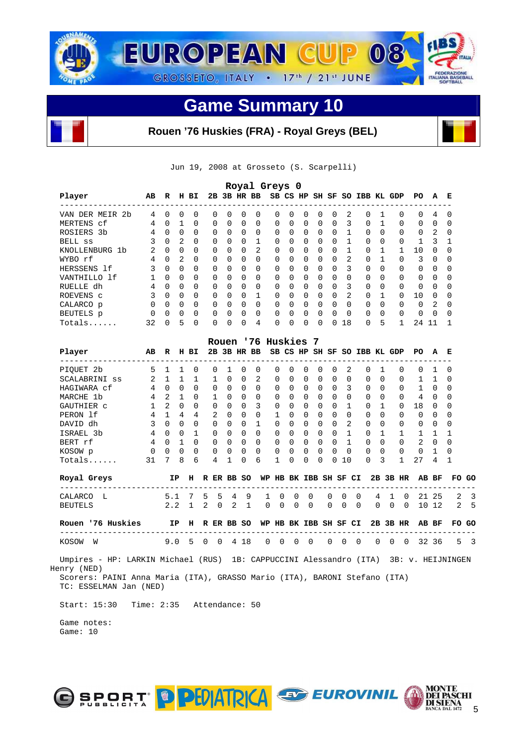

# **Rouen '76 Huskies (FRA) - Royal Greys (BEL)**

Jun 19, 2008 at Grosseto (S. Scarpelli)

|                                |          |          |               |          |              |              |              |          | Royal Greys 0 |              |          |              |              |               |                              |              |          |          |              |          |
|--------------------------------|----------|----------|---------------|----------|--------------|--------------|--------------|----------|---------------|--------------|----------|--------------|--------------|---------------|------------------------------|--------------|----------|----------|--------------|----------|
| Player                         | AВ       | R        | н             | ВI       | 2B           |              |              | 3B HR BB |               |              |          |              |              |               | SB CS HP SH SF SO IBB KL GDP |              |          | PO.      | A            | Е        |
| VAN DER MEIR<br>2 <sub>b</sub> | 4        | 0        | 0             | $\Omega$ | 0            | $\Omega$     | O            | 0        | 0             | <sup>n</sup> | $\Omega$ | <sup>0</sup> | <sup>0</sup> | 2             | $\Omega$                     |              | $\Omega$ | 0        | 4            |          |
| MERTENS cf                     | 4        | 0        |               | $\Omega$ | $\Omega$     | $\Omega$     | $\Omega$     | $\Omega$ | $\Omega$      | 0            | $\Omega$ | 0            | $\Omega$     | 3             | $\Omega$                     |              | $\Omega$ | $\Omega$ | $\Omega$     | 0        |
| ROSIERS<br>-3b                 | 4        | $\Omega$ | $\Omega$      | $\Omega$ | $\Omega$     | $\Omega$     | $\Omega$     | $\Omega$ | $\Omega$      | $\Omega$     | $\Omega$ | $\Omega$     | $\Omega$     |               | $\Omega$                     | <sup>0</sup> | $\Omega$ | $\Omega$ | 2            | $\Omega$ |
| <b>BELL</b> SS                 | 3        | $\Omega$ | $\mathcal{L}$ | $\Omega$ | $\Omega$     | $\cap$       | <sup>0</sup> | 1        | 0             | $\Omega$     | $\Omega$ | $\Omega$     | $\Omega$     |               | $\Omega$                     | <sup>0</sup> | $\Omega$ |          | κ            |          |
| KNOLLENBURG 1b                 |          | 0        | 0             | $\Omega$ | $\Omega$     | 0            | 0            | 2        | $\Omega$      | 0            | $\Omega$ | 0            | 0            |               | 0                            |              |          | 10       | <sup>0</sup> | 0        |
| WYBO rf                        | 4        | $\Omega$ | 2             | $\Omega$ | $\Omega$     | $\Omega$     | $\Omega$     | $\Omega$ | $\Omega$      | $\Omega$     | $\Omega$ | $\Omega$     | $\Omega$     | $\mathcal{L}$ | $\Omega$                     |              | $\Omega$ | 3        | $\Omega$     | $\Omega$ |
| HERSSENS<br>- 1 f              | 3        | $\Omega$ | $\Omega$      | $\Omega$ | $\Omega$     | <sup>n</sup> | 0            | $\Omega$ | $\Omega$      | <sup>0</sup> | $\Omega$ | $\Omega$     | $\Omega$     | 3             | $\Omega$                     | <sup>0</sup> | $\Omega$ | 0        | $\Omega$     | O        |
| VANTHILLO 1f                   |          | $\Omega$ | $\Omega$      | $\Omega$ | $\Omega$     | $\cap$       | $\Omega$     | $\Omega$ | $\Omega$      | $\Omega$     | $\Omega$ | $\Omega$     | $\Omega$     | <sup>0</sup>  | $\Omega$                     | <sup>0</sup> | $\Omega$ | 0        | $\Omega$     | $\Omega$ |
| RUELLE dh                      | 4        | $\Omega$ | $\Omega$      | $\Omega$ | $\Omega$     | $\Omega$     | $\Omega$     | $\Omega$ | $\Omega$      | $\Omega$     | $\Omega$ | $\Omega$     | $\Omega$     | 3             | $\Omega$                     | <sup>0</sup> | $\Omega$ | $\Omega$ | $\Omega$     | $\Omega$ |
| ROEVENS C                      | 3        | $\Omega$ | $\cap$        | $\Omega$ | $\Omega$     | $\cap$       | $\Omega$     |          | 0             | <sup>n</sup> | $\Omega$ | $\Omega$     | $\Omega$     | 2             | $\Omega$                     |              | $\Omega$ | 10       | $\cap$       | ∩        |
| CALARCO p                      | $\Omega$ | $\Omega$ | 0             | $\Omega$ | $\Omega$     | $\cap$       | <sup>0</sup> | 0        | 0             | $\cap$       | $\Omega$ | $\Omega$     | $\Omega$     | $\Omega$      | $\Omega$                     | <sup>0</sup> | $\Omega$ | 0        | 2            | ∩        |
| BEUTELS p                      | $\Omega$ | $\Omega$ | $\Omega$      | $\Omega$ | $\Omega$     | 0            | $\Omega$     | 0        | $\Omega$      | <sup>0</sup> | $\Omega$ | 0            | <sup>0</sup> | $\Omega$      | $\Omega$                     | <sup>0</sup> | $\Omega$ | 0        | $\Omega$     | O        |
| $Totals$                       | 32       | U        | 5             | $\Omega$ | <sup>0</sup> | ∩            | $\Omega$     | 4        | <sup>0</sup>  | <sup>n</sup> | $\Omega$ | <sup>0</sup> | <sup>n</sup> | 18            | $\Omega$                     | 5            |          | 24       | 11           |          |

|                                                  |                |               |              |              |              |          |             | Rouen '76 Huskies |                       |                 |              | -7       |          |              |          |                              |              |              |          |              |              |               |
|--------------------------------------------------|----------------|---------------|--------------|--------------|--------------|----------|-------------|-------------------|-----------------------|-----------------|--------------|----------|----------|--------------|----------|------------------------------|--------------|--------------|----------|--------------|--------------|---------------|
| Player<br>. <u>_ _ _ _ _ _ _ _ _ _ _ _ _ _ _</u> | AB             | R             |              | H BI         |              |          | 2B 3B HR BB |                   |                       |                 |              |          |          |              |          | SB CS HP SH SF SO IBB KL GDP |              |              | PO.      | A            | Е            |               |
| PIOUET 2b                                        | 5              |               | $\mathbf{1}$ | $\Omega$     | 0            | 1        | $\Omega$    | $\Omega$          | <sup>0</sup>          |                 | <sup>0</sup> | 0        | 0        | 2            |          | 0                            |              | 0            | 0        |              | 0            |               |
| SCALABRINI ss                                    | 2              | $\mathbf{1}$  | $\mathbf{1}$ | $\mathbf{1}$ | $\mathbf{1}$ | $\Omega$ | $\Omega$    | 2                 | <sup>0</sup>          | 0               | 0            | $\Omega$ | $\Omega$ | 0            |          | 0                            | $\Omega$     | <sup>o</sup> | 1.       | 1.           | <sup>0</sup> |               |
| HAGIWARA cf                                      | $\overline{4}$ | $\Omega$      | $\Omega$     | $\Omega$     | $\cap$       | 0        | $\Omega$    | $\Omega$          | $\Omega$              | 0               | $\Omega$     | $\Omega$ | $\Omega$ | 3            |          | $\Omega$                     | $\Omega$     | $\Omega$     | 1        | $\Omega$     | <sup>0</sup> |               |
| MARCHE 1b                                        | 4              | $\mathcal{L}$ | $\mathbf{1}$ | $\Omega$     | $\mathbf{1}$ | $\Omega$ | $\cap$      | $\Omega$          | 0                     | 0               | $\Omega$     | $\Omega$ | $\Omega$ | 0            |          | 0                            | $\Omega$     | $\Omega$     | 4        | 0            | <sup>0</sup> |               |
| GAUTHIER C                                       | $\mathbf{1}$   | $\mathcal{L}$ | $\Omega$     | $\Omega$     | $\Omega$     | $\Omega$ | $\Omega$    | 3                 | $\Omega$              | $\Omega$        | 0            | $\Omega$ | 0        | 1            |          | 0                            | $\mathbf{1}$ | $\Omega$     | 18       | 0            | 0            |               |
| PERON 1f                                         | $\overline{4}$ | $\mathbf{1}$  | 4            | 4            | 2            | 0        | $\Omega$    | $\Omega$          | 1                     | 0               | 0            | $\Omega$ | $\cap$   | 0            |          | 0                            | $\Omega$     | $\Omega$     | $\Omega$ | 0            | <sup>0</sup> |               |
| DAVID dh                                         | 3              | $\Omega$      | $\Omega$     | $\Omega$     | $\cap$       | 0        | 0           | $\mathbf{1}$      | $\Omega$              | 0               | 0            | $\Omega$ | 0        | 2            |          | $\Omega$                     | $\Omega$     | <sup>n</sup> | $\Omega$ | <sup>0</sup> | 0            |               |
| ISRAEL 3b                                        | 4              | $\Omega$      | $\Omega$     | 1            | $\Omega$     | $\Omega$ | $\cap$      | $\Omega$          | $\cap$                | $\Omega$        | $\Omega$     | $\Omega$ | $\Omega$ | $\mathbf{1}$ |          | $\Omega$                     | $\mathbf{1}$ | 1            | 1        | 1.           | 1            |               |
| BERT rf                                          | $\overline{4}$ | $\Omega$      | $\mathbf{1}$ | $\Omega$     | $\Omega$     | $\Omega$ | $\Omega$    | $\Omega$          | $\Omega$              | $\Omega$        | $\Omega$     | $\Omega$ | $\Omega$ | $\mathbf{1}$ |          | $\Omega$                     | $\Omega$     | $\Omega$     | 2        | $\Omega$     | <sup>0</sup> |               |
| KOSOW p                                          | $\Omega$       | $\Omega$      | $\Omega$     | $\Omega$     | $\Omega$     | $\Omega$ | $\Omega$    | $\Omega$          | $\Omega$              | $\Omega$        | $\Omega$     | $\Omega$ | $\Omega$ | $\Omega$     |          | $\Omega$                     | $\Omega$     | $\Omega$     | $\Omega$ | 1            | <sup>0</sup> |               |
| $Totals$                                         | 31             | 7             | 8            | 6            | 4            | 1        | 0           | 6                 | 1                     | $\Omega$        | 0            | $\Omega$ | 0        | 10           |          | $\Omega$                     | 3            | $\mathbf{1}$ | 27       | 4            |              |               |
| Royal Greys                                      |                | IP            |              | н            |              |          | R ER BB SO  | WP                |                       | HB BK IBB SH SF |              |          |          |              | CI       |                              |              | 2B 3B HR     |          | AB BF        | FO.          | GO            |
| CALARCO<br>т.                                    |                | 5.1           |              | 7 5          | -5           | 4        | 9           | 1                 | $\Omega$              | $\Omega$        | $\Omega$     |          | $\Omega$ | $\Omega$     | 0        | $\overline{4}$               | $\mathbf{1}$ | $\cap$       |          | 21 25        | 2            | 3             |
| <b>BEUTELS</b>                                   |                | 2.2           |              | $1\quad 2$   | $\Omega$     | 2        | 1           | $\Omega$          | $\Omega$              | $\mathbf 0$     | $\Omega$     |          | $\Omega$ | $\Omega$     | $\Omega$ | $\Omega$                     | $\Omega$     | $\bigcap$    |          | 10 12        | 2            | 5             |
| Rouen '76 Huskies                                |                |               | IP.          | H            |              |          | R ER BB SO  |                   | WP HB BK IBB SH SF CI |                 |              |          |          |              |          |                              |              | 2B 3B HR     |          | AB BF        | FO GO        |               |
| KOSOW<br>W                                       |                | 9.0           |              | 5 0          | 0            |          | 4 18        | $\Omega$          | 0                     | $\overline{0}$  | 0            |          | 0        | 0            | 0        | $\Omega$                     | $\Omega$     | $\Omega$     |          | 32 36        | 5            | $\mathcal{R}$ |
| <b>Contract Contract Contract Contract</b>       |                |               |              |              |              |          |             |                   |                       |                 |              |          |          |              |          |                              |              |              |          |              |              |               |

 Umpires - HP: LARKIN Michael (RUS) 1B: CAPPUCCINI Alessandro (ITA) 3B: v. HEIJNINGEN Henry (NED) Scorers: PAINI Anna Maria (ITA), GRASSO Mario (ITA), BARONI Stefano (ITA)

TC: ESSELMAN Jan (NED)

Start: 15:30 Time: 2:35 Attendance: 50

 Game notes: Game: 10

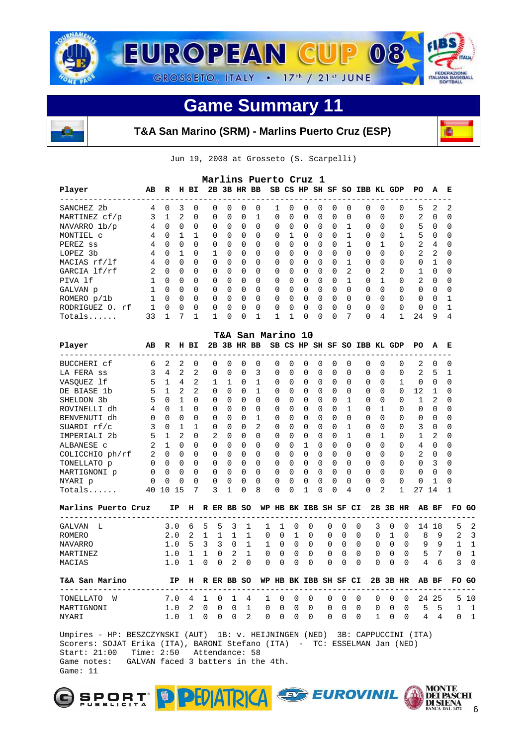



**T&A San Marino (SRM) - Marlins Puerto Cruz (ESP)** 

Jun 19, 2008 at Grosseto (S. Scarpelli)

|                                      |          |              |                |              |              |              |                | Marlins Puerto Cruz 1 |             |              |                       |          |          |               |              |                              |                |             |              |              |              |              |    |
|--------------------------------------|----------|--------------|----------------|--------------|--------------|--------------|----------------|-----------------------|-------------|--------------|-----------------------|----------|----------|---------------|--------------|------------------------------|----------------|-------------|--------------|--------------|--------------|--------------|----|
| Player                               | AВ       | R            |                | H BI         |              |              |                | 2B 3B HR BB           |             |              |                       |          |          |               |              | SB CS HP SH SF SO IBB KL GDP |                |             |              | PO           | A            | Е            |    |
| SANCHEZ 2b                           | 4        | $\Omega$     | 3              | $\Omega$     | $\Omega$     | 0            | 0              | $\Omega$              |             | 1            | $\Omega$              | 0        | 0        | $\Omega$      | $\Omega$     | $\Omega$                     | $\Omega$       |             | $\Omega$     | 5            | 2            | 2            |    |
| MARTINEZ cf/p                        | 3        | $\mathbf{1}$ | $\overline{a}$ | $\mathbf 0$  | 0            | 0            | $\Omega$       | $\mathbf{1}$          |             | 0            | $\Omega$              | 0        | 0        | 0             | $\Omega$     | 0                            | $\Omega$       |             | 0            | 2            | 0            | 0            |    |
| NAVARRO 1b/p                         | 4        | $\Omega$     | $\Omega$       | $\Omega$     | $\Omega$     | $\Omega$     | $\Omega$       | $\Omega$              |             | $\Omega$     | $\Omega$              | $\Omega$ | 0        | $\Omega$      | 1            | $\Omega$                     | $\Omega$       |             | $\Omega$     | 5            | 0            | $\Omega$     |    |
| MONTIEL C                            | 4        | $\Omega$     | 1              | 1            | 0            | 0            | $\Omega$       | $\Omega$              |             | 0            | 1                     | 0        | 0        | 0             | 1            | $\Omega$                     | $\Omega$       |             | 1            | 5            | 0            | $\Omega$     |    |
| PEREZ ss                             | 4        | $\Omega$     | $\mathbf 0$    | $\Omega$     | $\Omega$     | $\Omega$     | $\Omega$       | $\Omega$              |             | $\Omega$     | 0                     | $\Omega$ | 0        | $\Omega$      | $\mathbf{1}$ | $\Omega$                     | $\mathbf{1}$   |             | $\Omega$     | 2            | 4            | $\Omega$     |    |
| LOPEZ 3b                             | 4        | $\Omega$     | 1              | $\Omega$     | $\mathbf{1}$ | $\Omega$     | $\Omega$       | $\Omega$              |             | 0            | 0                     | $\Omega$ | $\Omega$ | $\Omega$      | $\Omega$     | $\Omega$                     | $\Omega$       |             | $\Omega$     | 2            | 2            | $\Omega$     |    |
| MACIAS rf/lf                         | 4        | 0            | $\Omega$       | $\Omega$     | $\Omega$     | $\Omega$     | $\Omega$       | $\Omega$              |             | 0            | 0                     | $\Omega$ | 0        | $\Omega$      | 1            | $\Omega$                     | $\Omega$       |             | $\Omega$     | $\Omega$     | $\mathbf{1}$ | $\Omega$     |    |
| GARCIA lf/rf                         | 2        | $\Omega$     | $\mathbf 0$    | $\Omega$     | 0            | 0            | $\Omega$       | $\Omega$              |             | 0            | 0                     | 0        | 0        | $\Omega$      | 2            | $\Omega$                     | $\overline{a}$ |             | $\Omega$     | 1            | 0            | $\Omega$     |    |
| PIVA 1f                              | 1        | $\Omega$     | $\mathbf 0$    | $\Omega$     | $\Omega$     | $\Omega$     | $\Omega$       | $\Omega$              |             | 0            | 0                     | $\Omega$ | 0        | $\Omega$      | $\mathbf{1}$ | $\Omega$                     | $\mathbf{1}$   |             | $\Omega$     | 2            | 0            | $\Omega$     |    |
| GALVAN p                             | 1        | $\Omega$     | $\Omega$       | $\Omega$     | 0            | $\Omega$     | $\Omega$       | $\Omega$              |             | 0            | 0                     | 0        | 0        | $\Omega$      | $\Omega$     | $\Omega$                     | $\Omega$       |             | $\Omega$     | $\Omega$     | 0            | $\Omega$     |    |
| ROMERO $p/1b$                        | 1        | $\Omega$     | 0              | $\Omega$     | $\Omega$     | 0            | $\Omega$       | $\Omega$              |             | 0            | 0                     | $\Omega$ | 0        | $\Omega$      | $\Omega$     | $\Omega$                     | $\Omega$       |             | $\Omega$     | 0            | 0            | 1            |    |
| RODRIGUEZ O. rf                      | 1        | 0            | $\mathbf 0$    | 0            | 0            | 0            | 0              | 0                     |             | 0            | 0                     | 0        | 0        | 0             | 0            | 0                            | $\mathbf 0$    |             | 0            | 0            | 0            | 1            |    |
| Totals                               | 33       | $\mathbf{1}$ | 7              | $\mathbf{1}$ | 1            | 0            | 0              | 1                     |             | $\mathbf{1}$ | 1                     | 0        | 0        | 0             | 7            | $\Omega$                     | 4              |             | $\mathbf{1}$ | 24           | 9            | 4            |    |
|                                      |          |              |                |              |              |              |                | T&A San Marino 10     |             |              |                       |          |          |               |              |                              |                |             |              |              |              |              |    |
| Player<br>--------------------       | AВ       | R            |                | H BI         |              |              |                | 2B 3B HR BB           |             |              |                       |          |          |               |              | SB CS HP SH SF SO IBB KL GDP |                |             |              | PO           | А            | Е            |    |
| BUCCHERI cf                          | 6        | 2            | 2              | 0            | 0            | <sup>0</sup> | <sup>0</sup>   | $\Omega$              |             | 0            | 0                     | 0        | 0        | 0             | <sup>0</sup> | 0                            | $\Omega$       |             | 0            | 2            | 0            | 0            |    |
| LA FERA SS                           | 3        | 4            | $\overline{2}$ | 2            | 0            | $\Omega$     | 0              | 3                     |             | 0            | 0                     | 0        | 0        | 0             | 0            | $\Omega$                     | $\Omega$       |             | $\Omega$     | 2            | 5            | 1            |    |
| VASOUEZ lf                           | 5        | $\mathbf{1}$ | 4              | 2            | $\mathbf{1}$ | $\mathbf 1$  | $\Omega$       | 1                     |             | 0            | 0                     | 0        | $\Omega$ | $\Omega$      | $\Omega$     | $\Omega$                     | $\Omega$       |             | 1            | $\Omega$     | 0            | $\Omega$     |    |
| DE BIASE 1b                          | 5        | $\mathbf{1}$ | 2              | 2            | $\Omega$     | 0            | $\Omega$       | 1                     |             | $\Omega$     | 0                     | $\Omega$ | $\Omega$ | $\Omega$      | $\Omega$     | $\Omega$                     | $\Omega$       |             | $\Omega$     | 12           | 1            | $\Omega$     |    |
| SHELDON 3b                           | 5        | $\Omega$     | 1              | $\Omega$     | 0            | 0            | 0              | $\Omega$              |             | 0            | 0                     | 0        | 0        | 0             | 1            | $\Omega$                     | 0              |             | $\Omega$     | 1            | 2            | <sup>0</sup> |    |
| ROVINELLI dh                         | 4        | $\Omega$     | 1              | $\Omega$     | 0            | $\Omega$     | 0              | $\Omega$              |             | 0            | 0                     | 0        | 0        | $\Omega$      | 1            | $\Omega$                     | 1              |             | $\Omega$     | $\Omega$     | $\Omega$     | $\Omega$     |    |
| BENVENUTI dh                         | $\Omega$ | $\Omega$     | $\Omega$       | $\Omega$     | $\Omega$     | 0            | $\Omega$       | 1                     |             | 0            | 0                     | $\Omega$ | $\Omega$ | $\Omega$      | $\Omega$     | $\Omega$                     | $\Omega$       |             | $\Omega$     | $\Omega$     | 0            | 0            |    |
| SUARDI rf/c                          | 3        | $\Omega$     | $\mathbf{1}$   | $\mathbf{1}$ | $\Omega$     | $\Omega$     | $\Omega$       | 2                     |             | 0            | 0                     | $\Omega$ | $\Omega$ | $\Omega$      | $\mathbf{1}$ | 0                            | $\Omega$       |             | 0            | 3            | $\Omega$     | $\Omega$     |    |
| IMPERIALI 2b                         | 5        | $\mathbf{1}$ | 2              | $\Omega$     | 2            | $\Omega$     | $\Omega$       | $\Omega$              |             | $\Omega$     | <sup>0</sup>          | $\Omega$ | $\Omega$ | 0             | 1            | 0                            | 1              |             | $\Omega$     | $\mathbf{1}$ | 2            | <sup>0</sup> |    |
| ALBANESE C                           | 2        | $\mathbf{1}$ | $\Omega$       | $\Omega$     | 0            | $\Omega$     | $\Omega$       | $\Omega$              |             | 0            | 0                     | 1        | 0        | $\Omega$      | $\Omega$     | $\Omega$                     | $\Omega$       |             | $\Omega$     | 4            | 0            | $\Omega$     |    |
| COLICCHIO ph/rf                      | 2        | $\Omega$     | 0              | $\Omega$     | $\Omega$     | 0            | $\Omega$       | $\Omega$              |             | 0            | 0                     | 0        | $\Omega$ | $\Omega$      | $\Omega$     | $\Omega$                     | $\Omega$       |             | $\Omega$     | 2            | 0            | 0            |    |
| TONELLATO p                          | 0        | $\Omega$     | $\Omega$       | 0            | 0            | $\Omega$     | $\Omega$       | $\Omega$              |             | 0            | 0                     | 0        | $\Omega$ | $\Omega$      | 0            | 0                            | $\Omega$       |             | $\Omega$     | 0            | 3            | 0            |    |
|                                      | $\Omega$ | $\Omega$     | $\Omega$       | $\Omega$     | $\Omega$     | $\Omega$     | $\Omega$       | $\Omega$              |             | 0            | 0                     | $\Omega$ | $\Omega$ | $\Omega$      | 0            | $\Omega$                     | $\Omega$       |             | $\Omega$     | 0            | 0            | $\Omega$     |    |
| MARTIGNONI p                         | 0        | 0            | 0              | $\Omega$     | 0            | <sup>0</sup> | $\Omega$       | $\Omega$              |             | 0            | 0                     | 0        | 0        | 0             | 0            | $\Omega$                     | $\Omega$       |             | $\Omega$     | 0            | 1            | $\Omega$     |    |
| NYARI p                              |          |              |                | 7            | 3            | 1            | 0              | 8                     |             | 0            | 0                     |          | 0        | 0             | 4            | 0                            | 2              |             | $\mathbf{1}$ | 27           | 14           | 1            |    |
| Totals                               |          | 40 10 15     |                |              |              |              |                |                       |             |              |                       | 1        |          |               |              |                              |                |             |              |              |              |              |    |
| Marlins Puerto Cruz                  |          |              | IP             |              | H R ER BB SO |              |                |                       |             |              | WP HB BK IBB SH SF CI |          |          |               |              |                              |                |             | 2B 3B HR     | AB BF        |              | FO.          | GO |
| GALVAN<br>L                          |          | 3.0          |                | 6            | 5            | 5            | 3              | 1                     | 1           | $\mathbf{1}$ | $\Omega$              | $\Omega$ | $\Omega$ | 0             |              | $\Omega$                     | 3              | $\Omega$    | $\Omega$     |              | 14 18        | 5            |    |
| ROMERO                               |          | 2.0          |                | 2            | $\mathbf{1}$ | 1            | $\mathbf{1}$   | 1                     | $\mathbf 0$ | $\Omega$     | $\mathbf{1}$          | $\Omega$ | $\Omega$ | $\Omega$      |              | $\Omega$                     | $\Omega$       | $\mathbf 1$ | $\Omega$     | 8            | 9            | 2            |    |
| NAVARRO                              |          | 1.0          |                | 5            | 3            | 3            | $\Omega$       | $\mathbf{1}$          | 1           | $\Omega$     | $\Omega$              | $\Omega$ | 0        | $\Omega$      |              | $\Omega$                     | $\Omega$       | $\Omega$    | $\Omega$     | 9            | 9            | 1            |    |
| MARTINEZ                             |          | 1.0          |                | 1            | 1            | 0            | 2              | 1                     | 0           | $\Omega$     | 0                     | $\Omega$ | 0        | 0             |              | 0                            | 0              | $\Omega$    | $\Omega$     | 5            | 7            | $\Omega$     |    |
| MACIAS                               |          | 1.0          |                | $\mathbf{1}$ | $\Omega$     | $\Omega$     | $\overline{2}$ | $\Omega$              | $\Omega$    | $\Omega$     | $\Omega$              | $\Omega$ | $\Omega$ | 0             |              | 0                            | $\Omega$       | 0           | $\Omega$     | 4            | 6            | 3            |    |
| T&A San Marino                       |          |              | IP             | н            |              | R ER BB SO   |                |                       |             |              | WP HB BK IBB SH SF CI |          |          |               |              |                              |                |             | 2B 3B HR     |              | AB BF        | FO GO        |    |
|                                      |          |              |                |              |              |              |                |                       |             |              |                       |          |          |               |              |                              |                |             |              |              |              |              |    |
| W                                    |          | 7.0          |                | 4            | 1            | $\Omega$     | 1              | 4                     | 1           | $\Omega$     | $\Omega$              | $\Omega$ | 0        | 0             |              | $\Omega$                     | 0              | $\Omega$    | $\Omega$     | 24           | 25           | 5.           |    |
| ---------<br>TONELLATO<br>MARTIGNONI |          | 1.0          |                | 2            | 0            | $\Omega$     | $\Omega$       | 1                     | $\Omega$    | $\Omega$     | $\Omega$              | $\Omega$ |          | 0<br>$\Omega$ |              | $\Omega$                     | 0              | $\Omega$    | $\Omega$     | 5            | 5            | $\mathbf{1}$ | 10 |

 Umpires - HP: BESZCZYNSKI (AUT) 1B: v. HEIJNINGEN (NED) 3B: CAPPUCCINI (ITA) Scorers: SOJAT Erika (ITA), BARONI Stefano (ITA) - TC: ESSELMAN Jan (NED) Start: 21:00 Time: 2:50 Attendance: 58 Game notes: GALVAN faced 3 batters in the 4th. Game: 11





画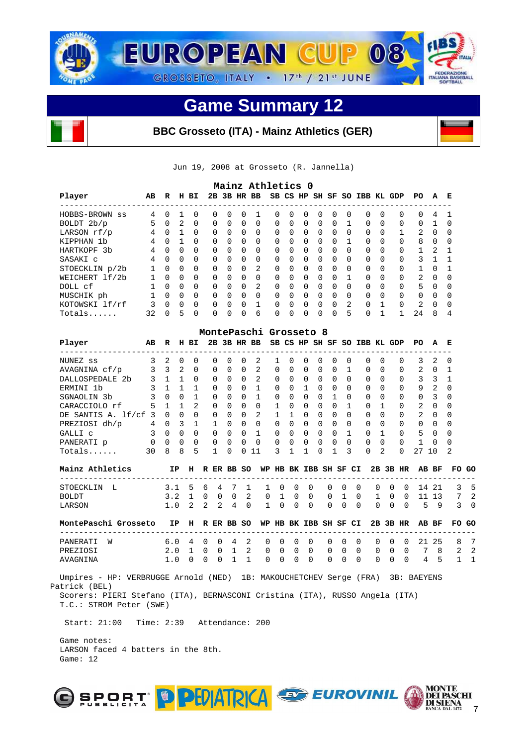

# **BBC Grosseto (ITA) - Mainz Athletics (GER)**

Jun 19, 2008 at Grosseto (R. Jannella)

|                  |    |          |               |              |          |          |          | Mainz Athletics 0 |          |              |          |          |          |                |                              |              |          |                |          |              |
|------------------|----|----------|---------------|--------------|----------|----------|----------|-------------------|----------|--------------|----------|----------|----------|----------------|------------------------------|--------------|----------|----------------|----------|--------------|
| Player           | AB | R        |               | H BI         |          |          |          | 2B 3B HR BB       |          |              |          |          |          |                | SB CS HP SH SF SO IBB KL GDP |              |          | PO.            | A        | Е            |
| HOBBS-BROWN ss   | 4  | 0        |               | <sup>0</sup> | $\Omega$ | $\Omega$ | $\Omega$ |                   | $\Omega$ | $\Omega$     | $\Omega$ | $\Omega$ | $\Omega$ | $\Omega$       | $\Omega$                     | $\Omega$     | $\Omega$ | $\Omega$       | 4        |              |
| BOLDT 2b/p       | 5  | $\Omega$ | $\mathcal{L}$ | $\Omega$     | $\Omega$ | $\Omega$ | $\Omega$ | $\Omega$          | $\Omega$ | $\Omega$     | $\Omega$ | $\Omega$ | $\Omega$ |                | $\Omega$                     | $\Omega$     | $\Omega$ | $\Omega$       |          | <sup>0</sup> |
| LARSON $rf/p$    | 4  | $\Omega$ |               | $\Omega$     | $\Omega$ | $\Omega$ | $\Omega$ | $\Omega$          | $\Omega$ | $\Omega$     | $\Omega$ | $\Omega$ | $\Omega$ | $\Omega$       | $\Omega$                     | $\Omega$     |          | 2              | $\Omega$ | $\Omega$     |
| KIPPHAN<br>- 1 b | 4  | $\Omega$ |               | $\Omega$     | $\Omega$ | $\Omega$ | $\Omega$ | $\Omega$          | $\Omega$ | $\Omega$     | $\Omega$ | $\Omega$ | $\Omega$ |                | $\Omega$                     | $\Omega$     | $\Omega$ | 8              | $\Omega$ | $\Omega$     |
| HARTKOPF 3b      | 4  | $\Omega$ | $\Omega$      | $\Omega$     | $\Omega$ | $\Omega$ | $\Omega$ | $\Omega$          | $\Omega$ | $\Omega$     | $\Omega$ | $\Omega$ | $\Omega$ | $\Omega$       | $\Omega$                     | $\Omega$     | $\Omega$ |                | 2        |              |
| SASAKI C         | 4  | $\Omega$ | $\Omega$      | $\Omega$     | $\Omega$ | $\Omega$ | $\Omega$ | $\Omega$          | $\Omega$ | $\Omega$     | $\Omega$ | $\Omega$ | $\Omega$ | $\Omega$       | $\Omega$                     | $\Omega$     | $\Omega$ | 3              |          |              |
| STOECKLIN p/2b   |    | $\Omega$ | $\Omega$      | $\Omega$     | $\Omega$ | $\Omega$ | $\Omega$ | 2                 | $\Omega$ | $\Omega$     | $\Omega$ | $\Omega$ | $\Omega$ | $\Omega$       | $\Omega$                     | $\Omega$     | $\Omega$ |                | $\Omega$ |              |
| WEICHERT lf/2b   |    | $\Omega$ | $\Omega$      | $\Omega$     | $\Omega$ | $\cap$   | $\Omega$ | $\Omega$          | $\Omega$ | $\Omega$     | $\Omega$ | $\Omega$ | $\Omega$ |                | $\Omega$                     | <sup>0</sup> | $\Omega$ | $\overline{2}$ | $\cap$   | $\Omega$     |
| DOLL cf          |    | $\Omega$ | $\Omega$      | $\Omega$     | $\Omega$ | $\cap$   | $\Omega$ | $\mathfrak{D}$    | $\Omega$ | $\Omega$     | $\Omega$ | $\Omega$ | $\Omega$ | $\Omega$       | $\Omega$                     | $\Omega$     | $\Omega$ | 5              | $\cap$   | $\Omega$     |
| MUSCHIK ph       |    | $\cap$   | $\Omega$      | $\Omega$     | $\Omega$ | $\cap$   | $\Omega$ | $\Omega$          | $\Omega$ | <sup>n</sup> | $\Omega$ | $\Omega$ | $\cap$   | $\cap$         | $\Omega$                     | <sup>0</sup> | $\Omega$ | $\Omega$       | $\cap$   | $\Omega$     |
| KOTOWSKI lf/rf   |    | $\Omega$ | $\Omega$      | $\Omega$     | $\Omega$ | $\cap$   | 0        |                   | $\Omega$ | $\cap$       | $\Omega$ | $\Omega$ | $\Omega$ | $\overline{a}$ | $\Omega$                     |              | $\Omega$ | $\overline{2}$ | $\cap$   | $\Omega$     |
| Totals           | 32 | $\cap$   | 5             | $\Omega$     | 0        | $\cap$   | $\Omega$ | 6                 | 0        | <sup>n</sup> | $\Omega$ | $\Omega$ | $\cap$   | 5              | $\Omega$                     |              |          | 24             | 8        | 4            |

|                                                                                                                                                                                                                                                                                        |    |          |          |               | MontePaschi Grosseto 8 |              |              |          |              |          |          |          |          |          |                        |          |          |                |              |          |
|----------------------------------------------------------------------------------------------------------------------------------------------------------------------------------------------------------------------------------------------------------------------------------------|----|----------|----------|---------------|------------------------|--------------|--------------|----------|--------------|----------|----------|----------|----------|----------|------------------------|----------|----------|----------------|--------------|----------|
| 2B 3B HR BB<br>SB CS HP SH SF SO IBB KL GDP<br>Player<br>AB<br>E<br>R<br>BI.<br>PO.<br>н<br>A<br>3<br>$\Omega$<br>2<br>3<br>$\Omega$<br>NUNEZ ss<br>2<br>$\Omega$<br>$\Omega$<br><sup>0</sup><br>2<br><sup>0</sup><br>$\Omega$<br>0<br>$\Omega$<br>0<br>0<br>$\Omega$<br>0<br>$\Omega$ |    |          |          |               |                        |              |              |          |              |          |          |          |          |          |                        |          |          |                |              |          |
|                                                                                                                                                                                                                                                                                        |    |          |          |               |                        |              |              |          |              |          |          |          |          |          |                        |          |          |                |              |          |
| AVAGNINA cf/p                                                                                                                                                                                                                                                                          | 3  | 3        | 2        | $\Omega$      | 0                      | $\Omega$     | $\Omega$     | 2        | 0            | $\Omega$ | $\Omega$ | $\Omega$ | $\Omega$ |          | $\Omega$               | $\Omega$ | $\Omega$ | 2              | $\Omega$     |          |
| DALLOSPEDALE 2b                                                                                                                                                                                                                                                                        | 3  |          |          | $\Omega$      | 0                      | $\Omega$     | $\Omega$     | 2        | 0            | $\Omega$ | $\Omega$ | $\Omega$ | 0        | $\Omega$ | 0                      | $\cap$   | $\Omega$ | 3              | 3            |          |
| ERMINI 1b                                                                                                                                                                                                                                                                              |    |          |          |               | 0                      | $\Omega$     | $\Omega$     |          | 0            | $\Omega$ |          | $\Omega$ | 0        | $\Omega$ | 0                      | $\Omega$ | $\Omega$ | 9              | 2            | $\Omega$ |
| SGNAOLIN 3b                                                                                                                                                                                                                                                                            | 3  | $\Omega$ | $\Omega$ |               | <sup>n</sup>           | $\Omega$     | $\Omega$     |          | <sup>n</sup> | $\Omega$ | $\Omega$ | $\Omega$ |          | $\Omega$ | $\Omega$               | $\cap$   | $\Omega$ | $\Omega$       | 3            | $\Omega$ |
| CARACCIOLO rf                                                                                                                                                                                                                                                                          | 5  |          |          | $\mathcal{L}$ | 0                      | $\Omega$     | $\Omega$     | $\Omega$ |              | $\Omega$ | $\Omega$ | $\Omega$ | 0        |          | $\Omega$               |          | $\Omega$ | 2              | $\Omega$     | $\Omega$ |
| DE SANTIS A. 1f/cf                                                                                                                                                                                                                                                                     | 3  | 0        | $\Omega$ | $\Omega$      | <sup>n</sup>           | $\Omega$     | $\Omega$     | 2        |              |          | $\Omega$ | $\Omega$ | 0        | $\Omega$ | $\Omega$               | $\Omega$ | $\Omega$ | $\overline{2}$ | 0            | $\Omega$ |
| PREZIOSI dh/p                                                                                                                                                                                                                                                                          | 4  | 0        | 3        |               |                        | 0            | $\Omega$     | $\Omega$ | <sup>n</sup> | $\Omega$ | $\Omega$ | $\Omega$ | $\Omega$ | $\Omega$ | 0                      | $\cap$   | $\Omega$ | $\Omega$       | <sup>0</sup> | $\Omega$ |
| GALLI C                                                                                                                                                                                                                                                                                | 3  | $\Omega$ | $\Omega$ | $\Omega$      | 0                      | $\Omega$     | $\Omega$     |          | 0            | $\Omega$ | $\Omega$ | $\Omega$ | $\Omega$ |          | 0                      |          | $\Omega$ | 5              | $\Omega$     | $\Omega$ |
| PANERATI p                                                                                                                                                                                                                                                                             | 0  | $\Omega$ | $\Omega$ | $\Omega$      | 0                      | $\Omega$     | $\Omega$     | $\Omega$ | 0            | $\Omega$ | $\Omega$ | $\Omega$ | $\Omega$ | $\Omega$ | $\Omega$               | $\cap$   | $\Omega$ |                | <sup>0</sup> | $\Omega$ |
| $Totals$                                                                                                                                                                                                                                                                               | 30 | 8        | 8        | -5            |                        | <sup>n</sup> | <sup>n</sup> | 11       | 3            |          |          | $\Omega$ |          | २        | $\Omega$               | 2        | $\Omega$ | 2.7            | 10           | 2        |
| Mainz Athlatics                                                                                                                                                                                                                                                                        |    |          | TD       | ч             | Þ<br>FP.               |              | RR SO        | WD       | UR.          |          | RY TRR   |          | SU SP    |          | $\mathsf{C}\mathsf{T}$ | 2R       | סט מג    |                | AR RF        | ro c     |

| Mainz Athletics      |                 | 1P H           |     |              |          | R ER BB SO    |          |          |             | WP HB BK IBB SH SF CI ZB 3B HR AB BF |                |          |          |          |              |          |       |     | FO GO |      |
|----------------------|-----------------|----------------|-----|--------------|----------|---------------|----------|----------|-------------|--------------------------------------|----------------|----------|----------|----------|--------------|----------|-------|-----|-------|------|
| STOECKLIN<br>- 15    | 3.1             |                | 56  | 4            |          |               |          | $\Omega$ | 0           | $\overline{0}$                       | $\Omega$       | $\Omega$ | $\Omega$ | 0        | 0            | $\Omega$ | 14 21 |     |       | -5   |
| <b>BOLDT</b>         | 3.2             |                | - 0 | $\Omega$     | $\Omega$ | -2            | $\Omega$ |          | $\Omega$    | $\Omega$                             | $\overline{0}$ |          | $\Omega$ |          | $\Omega$     | $\Omega$ | 11    | -13 | 7     | - 2  |
| LARSON               | 1.0             | $\overline{2}$ | 2   | 2            | 4        | $\Omega$      |          | $\Omega$ | $\mathbf 0$ | $\Omega$                             | $\Omega$       | $\Omega$ | $\Omega$ | 0        | <sup>0</sup> | $\Omega$ | 5.    | - 9 | 3     | - 0  |
| MontePaschi Grosseto | IP H R ER BB SO |                |     |              |          |               |          |          |             | WP HB BK IBB SH SF CI                |                |          |          |          |              | 2B 3B HR | AB BF |     | FO GO |      |
| PANERATI<br>W        | 6.0             | 4              | - 0 | - 0          | 4        | - 2.          | $\Omega$ | $\Omega$ | $\Omega$    | $\Omega$                             | $\Omega$       | - 0      | $\Omega$ | $\Omega$ | $\Omega$     | $\Omega$ | 21    | 25  | 8     | 7    |
| PREZIOSI             | 2.0             |                | 0   | <sup>0</sup> |          | $\mathcal{L}$ | $\Omega$ | $\Omega$ | $\Omega$    | $\Omega$                             | $\Omega$       | $\Omega$ | $\Omega$ | 0        | <sup>0</sup> | $\Omega$ |       | 8   | 2.    | - 2. |
|                      |                 |                |     |              |          |               |          |          |             |                                      |                |          |          |          |              |          |       |     |       |      |

 Umpires - HP: VERBRUGGE Arnold (NED) 1B: MAKOUCHETCHEV Serge (FRA) 3B: BAEYENS Patrick (BEL) Scorers: PIERI Stefano (ITA), BERNASCONI Cristina (ITA), RUSSO Angela (ITA) T.C.: STROM Peter (SWE)

Start: 21:00 Time: 2:39 Attendance: 200

 Game notes: LARSON faced 4 batters in the 8th. Game: 12



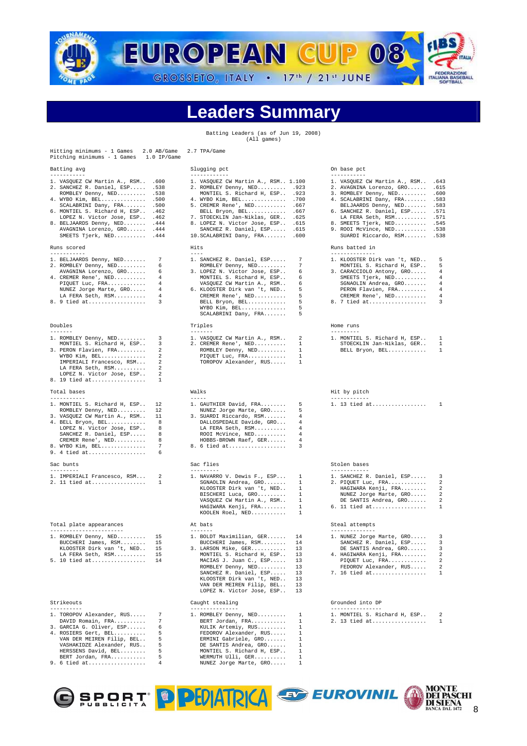

# Leaders Summar

Batting Leaders (as of Jun 19, 2008) (All games)

| Hitting minimums - 1 Games<br>$2.0$ AB/Game<br>Pitching minimums - 1 Games<br>$1.0$ IP/Game                                                                                                                                                                                                                                                 | 2.7 TPA/Game                                                                                                                                                                                                                                                                                                                                      |                                                                                                                                                                                                                                                                                                                                                         |  |
|---------------------------------------------------------------------------------------------------------------------------------------------------------------------------------------------------------------------------------------------------------------------------------------------------------------------------------------------|---------------------------------------------------------------------------------------------------------------------------------------------------------------------------------------------------------------------------------------------------------------------------------------------------------------------------------------------------|---------------------------------------------------------------------------------------------------------------------------------------------------------------------------------------------------------------------------------------------------------------------------------------------------------------------------------------------------------|--|
| Batting avg                                                                                                                                                                                                                                                                                                                                 | Slugging pct                                                                                                                                                                                                                                                                                                                                      | On base pct                                                                                                                                                                                                                                                                                                                                             |  |
| -----------<br>1. VASQUEZ CW Martin A., RSM 600<br>2. SANCHEZ R. Daniel, ESP<br>.538<br>ROMBLEY Denny, NED .538<br>4. WYBO Kim, BEL .500<br>SCALABRINI Dany, FRA .500<br>6. MONTIEL S. Richard H, ESP<br>.462<br>LOPEZ N. Victor Jose, ESP . 462<br>8. BELJAARDS Denny, NED . 444<br>AVAGNINA Lorenzo, GRO . 444<br>SMEETS Tjerk, NED . 444 | ------------<br>1. VASQUEZ CW Martin A., RSM 1.100<br>2. ROMBLEY Denny, NED .923<br>MONTIEL S. Richard H, ESP .923<br>4. WYBO Kim, BEL .700<br>5. CREMER Rene', NED .667<br>BELL Bryon, BEL<br>.667<br>7. STOECKLIN Jan-Niklas, GER 625<br>8. LOPEZ N. Victor Jose, ESP . 615<br>SANCHEZ R. Daniel, ESP<br>.615<br>10. SCALABRINI Dany, FRA . 600 | -----------<br>1. VASQUEZ CW Martin A., RSM<br>.643<br>2. AVAGNINA Lorenzo, GRO<br>.615<br>3. ROMBLEY Denny, NED<br>.600<br>4. SCALABRINI Dany, FRA .583<br>BELJAARDS Denny, NED<br>.583<br>6. SANCHEZ R. Daniel, ESP<br>.571<br>.571<br>LA FERA Seth, RSM<br>8. SMEETS Tjerk, NED .545<br>9. ROOI McVince, NED<br>.538<br>SUARDI Riccardo, RSM<br>.538 |  |
| Runs scored<br>-----------                                                                                                                                                                                                                                                                                                                  | Hits<br>$- - - -$                                                                                                                                                                                                                                                                                                                                 | Runs batted in<br>--------------                                                                                                                                                                                                                                                                                                                        |  |
| 7<br>1. BELJAARDS Denny, NED<br>2. ROMBLEY Denny, NED<br>6<br>AVAGNINA Lorenzo, GRO<br>6<br>4. CREMER Rene', NED<br>4<br>4<br>PIQUET Luc, $FRA$<br>NUNEZ Jorge Marte, GRO<br>4<br>4<br>LA FERA Seth, RSM<br>8. 9 tied at<br>3                                                                                                               | 7<br>1. SANCHEZ R. Daniel, ESP<br>7<br>ROMBLEY Denny, NED<br>3. LOPEZ N. Victor Jose, ESP<br>6<br>MONTIEL S. Richard H, ESP<br>6<br>VASQUEZ CW Martin A., RSM<br>6<br>6. KLOOSTER Dirk van 't, NED<br>5<br>5<br>CREMER Rene', NED<br>5<br>BELL Bryon, BEL<br>5<br>WYBO Kim, BEL<br>5<br>SCALABRINI Dany, FRA                                      | 1. KLOOSTER Dirk van 't, NED<br>5<br>MONTIEL S. Richard H, ESP<br>5<br>3. CARACCIOLO Antony, GRO<br>4<br>SMEETS Tjerk, NED<br>4<br>4<br>SGNAOLIN Andrea, GRO<br>4<br>PERON Flavien, FRA<br>CREMER Rene', NED<br>4<br>8. 7 tied at<br>3                                                                                                                  |  |
| Doubles<br>$- - - - - - - -$                                                                                                                                                                                                                                                                                                                | Triples<br>$- - - - - - - -$                                                                                                                                                                                                                                                                                                                      | Home runs<br>---------                                                                                                                                                                                                                                                                                                                                  |  |
| 1. ROMBLEY Denny, NED<br>3<br>3<br>MONTIEL S. Richard H, ESP<br>2<br>3. PERON Flavien, FRA<br>2<br>WYBO Kim, BEL<br>2<br>IMPERIALI Francesco, RSM<br>LA FERA Seth, RSM<br>2<br>2<br>LOPEZ N. Victor Jose, ESP<br>8. 19 tied at<br>1                                                                                                         | 1. VASQUEZ CW Martin A., RSM<br>2<br>2. CREMER Rene', NED<br>1<br>$\mathbf{1}$<br>ROMBLEY Denny, NED<br>PIQUET Luc, FRA<br>1<br>TOROPOV Alexander, RUS<br>$\mathbf{1}$                                                                                                                                                                            | 1. MONTIEL S. Richard H, ESP<br>1<br>STOECKLIN Jan-Niklas, GER<br>1<br>BELL Bryon, BEL<br>1                                                                                                                                                                                                                                                             |  |
| Total bases                                                                                                                                                                                                                                                                                                                                 | Walks                                                                                                                                                                                                                                                                                                                                             | Hit by pitch                                                                                                                                                                                                                                                                                                                                            |  |
| -----------<br>1. MONTIEL S. Richard H, ESP<br>12<br>12<br>ROMBLEY Denny, NED<br>3. VASQUEZ CW Martin A., RSM<br>11<br>8<br>4. BELL Bryon, BEL<br>LOPEZ N. Victor Jose, ESP<br>8<br>SANCHEZ R. Daniel, ESP<br>8<br>8<br>CREMER Rene', NED<br>7<br>8. WYBO Kim, BEL<br>9. 4 tied at<br>6                                                     | $- - - - -$<br>5<br>1. GAUTHIER David, FRA<br>5<br>NUNEZ Jorge Marte, GRO<br>3. SUARDI Riccardo, RSM<br>4<br>DALLOSPEDALE Davide, GRO<br>4<br>LA FERA Seth, RSM<br>4<br>ROOI McVince, NED<br>4<br>4<br>HOBBS-BROWN Raef, GER<br>8. 6 tied at<br>3                                                                                                 | ------------<br>1. 13 tied at<br>1                                                                                                                                                                                                                                                                                                                      |  |
| Sac bunts                                                                                                                                                                                                                                                                                                                                   | Sac flies                                                                                                                                                                                                                                                                                                                                         | Stolen bases                                                                                                                                                                                                                                                                                                                                            |  |
| ---------<br>1. IMPERIALI Francesco, RSM<br>2<br>2. 11 tied at<br>$\mathbf{1}$                                                                                                                                                                                                                                                              | ---------<br>1. NAVARRO V. Dewis F., ESP<br>-1.<br>SGNAOLIN Andrea, GRO<br>$\mathbf{1}$<br>KLOOSTER Dirk van 't, NED<br>$\mathbf{1}$<br>BISCHERI Luca, GRO<br>$\mathbf{1}$<br>VASQUEZ CW Martin A., RSM<br>1<br>HAGIWARA Kenji, FRA<br>$\mathbf{1}$<br>KOOLEN Roel, NED<br>1.                                                                     | ------------<br>1. SANCHEZ R. Daniel, ESP<br>3<br>2<br>2. PIQUET Luc, FRA<br>2<br>HAGIWARA Kenji, FRA<br>2<br>NUNEZ Jorge Marte, GRO<br>2<br>DE SANTIS Andrea, GRO<br>6. 11 tied at<br>1                                                                                                                                                                |  |
| Total plate appearances                                                                                                                                                                                                                                                                                                                     | At bats                                                                                                                                                                                                                                                                                                                                           | Steal attempts                                                                                                                                                                                                                                                                                                                                          |  |
| -----------------------<br>1. ROMBLEY Denny, NED<br>15<br>BUCCHERI James, RSM<br>KLOOSTER Dirk van 't, NED<br>15<br>LA FERA Seth, RSM<br>15<br>5. 10 tied at<br>14                                                                                                                                                                          | $- - - - - - -$<br>1. BOLDT Maximilian, GER<br>14<br>BUCCHERI James, RSM<br>3. LARSON Mike, GER<br>13<br>MONTIEL S. Richard H, ESP<br>13<br>MACIAS J. Juan C., ESP<br>13<br>ROMBLEY Denny, NED<br>13<br>SANCHEZ R. Daniel, ESP<br>13<br>KLOOSTER Dirk van 't, NED<br>13<br>VAN DER MEIREN Filip, BEL<br>13<br>LOPEZ N. Victor Jose, ESP<br>13     | --------------<br>1. NUNEZ Jorge Marte, GRO<br>3<br>SANCHEZ R. Daniel, ESP<br>$\mathcal{R}$<br>DE SANTIS Andrea, GRO<br>3<br>4. HAGIWARA Kenji, FRA<br>2<br>PIQUET Luc, FRA<br>2<br>FEDOROV Alexander, RUS<br>2<br>7. 16 tied at<br>1                                                                                                                   |  |
| Strikeouts<br>----------                                                                                                                                                                                                                                                                                                                    | Caught stealing<br>---------------                                                                                                                                                                                                                                                                                                                | Grounded into DP<br>----------------                                                                                                                                                                                                                                                                                                                    |  |
| 1. TOROPOV Alexander, RUS<br>7<br>7<br>DAVID Romain, FRA<br>3. GARCIA G. Oliver, ESP<br>6<br>4. ROSIERS Gert, BEL<br>5                                                                                                                                                                                                                      | 1. ROMBLEY Denny, NED<br>1<br>BERT Jordan, FRA<br>1<br>KULIK Artemiy, RUS<br>1<br>FEDOROV Alexander, RUS<br>$\mathbf{1}$                                                                                                                                                                                                                          | 1. MONTIEL S. Richard H, ESP<br>2<br>2. 13 tied at<br>1                                                                                                                                                                                                                                                                                                 |  |

# -----------, -----------<br>SPEDALE Davide, GRO... 4<br>RA Seth, RSM.......... 4 8. WYBO Kim, BEL.............. 7 8. 6 tied at.................. 3 stealing Strike Caught stealing Grounded into DP 1. TOROPOV Alexander, RUS..... 7 1. ROMBLEY Denny, NED......... 1 1. MONTIEL S. Richard H, ESP.. 2 4. ROSIERS Gert, BEL.......... 5 FEDOROV Alexander, RUS..... 1 VAN DER MEIREN Filip, BEL.. 5 ERMINI Gabriele, GRO....... 1 VASHAKIDZE Alexander, RUS.. 5 DE SANTIS Andrea, GRO...... 1 HERSSENS David, BEL........ 5 MONTIEL S. Richard H, ESP.. 1 BERT Jordan, FRA........... 5 WERMUTH Ulli, GER.......... 1 9. 6 tied at.................. 4 NUNEZ Jorge Marte, GRO..... 1

# Batting avg Slugging pct On base pct

| $--- - -$                                                                                                                                                                                                                                  |                                                                  | -----------                                                                                                                                                                                                                                                                                             |                                                                               |
|--------------------------------------------------------------------------------------------------------------------------------------------------------------------------------------------------------------------------------------------|------------------------------------------------------------------|---------------------------------------------------------------------------------------------------------------------------------------------------------------------------------------------------------------------------------------------------------------------------------------------------------|-------------------------------------------------------------------------------|
| JEZ CW Martin A., RSM 1.100<br>EY Denny, NED .923<br>EL S. Richard H, ESP .923<br>Kim, BEL .700<br>R Rene', NED<br>Bryon, BEL<br>XLIN Jan-Niklas, GER .625<br>N. Victor Jose, ESP . 615<br>IEZ R. Daniel, ESP .615<br>BRINI Dany, FRA .600 | .667<br>.667                                                     | 1. VASQUEZ CW Martin A., RSM<br>2. AVAGNINA Lorenzo, GRO . 615<br>3. ROMBLEY Denny, NED .600<br>4. SCALABRINI Dany, FRA .583<br>BELJAARDS Denny, NED<br>6. SANCHEZ R. Daniel, ESP .571<br>LA FERA Seth, RSM .571<br>8. SMEETS Tjerk, NED .545<br>9. ROOI McVince, NED .538<br>SUARDI Riccardo, RSM .538 | .643<br>.583                                                                  |
| IEZ R. Daniel, ESP<br>EY Denny, NED<br>I N. Victor Jose, ESP<br>IEL S. Richard H, ESP<br>JEZ CW Martin A., RSM<br>STER Dirk van 't, NED<br>R Rene', NED<br>Bryon, BEL<br>Kim, BEL<br>BRINI Dany, FRA                                       | 7<br>7<br>6<br>6<br>6<br>5<br>5<br>5<br>5<br>5                   | Runs batted in<br>--------------<br>1. KLOOSTER Dirk van 't, NED<br>MONTIEL S. Richard H, ESP<br>3. CARACCIOLO Antony, GRO<br>SMEETS Tjerk, NED<br>SGNAOLIN Andrea, GRO<br>PERON Flavien, FRA<br>CREMER Rene', NED<br>8. 7 tied at                                                                      | 5<br>5<br>4<br>$\overline{4}$<br>$\overline{4}$<br>4<br>$\overline{4}$<br>3   |
|                                                                                                                                                                                                                                            |                                                                  | Home runs                                                                                                                                                                                                                                                                                               |                                                                               |
| JEZ CW Martin A., RSM<br>R Rene', NED<br>EY Denny, NED<br>IT Luc, FRA<br>OV Alexander, RUS                                                                                                                                                 | $\overline{a}$<br>1<br>1<br>$\mathbf{1}$<br>1                    | ---------<br>1. MONTIEL S. Richard H, ESP<br>STOECKLIN Jan-Niklas, GER<br>BELL Bryon, BEL                                                                                                                                                                                                               | $\mathbf{1}$<br>1<br>$\mathbf{1}$                                             |
|                                                                                                                                                                                                                                            |                                                                  | Hit by pitch                                                                                                                                                                                                                                                                                            |                                                                               |
| IIER David, FRA<br>Jorge Marte, GRO<br>DI Riccardo, RSM<br>SPEDALE Davide, GRO<br>RA Seth, RSM<br>McVince, NED<br>-BROWN Raef, GER<br>ed at                                                                                                | 5<br>5<br>4<br>4<br>4<br>4<br>4<br>3                             | ------------<br>1. 13 tied at                                                                                                                                                                                                                                                                           | <sup>1</sup>                                                                  |
| èS.                                                                                                                                                                                                                                        |                                                                  | Stolen bases                                                                                                                                                                                                                                                                                            |                                                                               |
| $\overline{a}$<br>RO V. Dewis F., ESP<br>LIN Andrea, GRO<br>STER Dirk van 't, NED<br>IERI Luca, GRO<br>JEZ CW Martin A., RSM<br>WARA Kenji, FRA<br>N Roel, NED                                                                             | 1<br>$\mathbf{1}$<br>1<br>$\mathbf{1}$<br>$\mathbf{1}$<br>1<br>1 | ------------<br>1. SANCHEZ R. Daniel, ESP<br>2. PIQUET Luc, FRA<br>HAGIWARA Kenji, FRA<br>NUNEZ Jorge Marte, GRO<br>DE SANTIS Andrea, GRO<br>6. 11 tied at                                                                                                                                              | 3<br>2<br>2<br>2<br>$\overline{a}$<br>1                                       |
|                                                                                                                                                                                                                                            |                                                                  | Steal attempts                                                                                                                                                                                                                                                                                          |                                                                               |
| Maximilian, GER<br>ERI James, RSM<br>M Mike, GER<br>IEL S. Richard H, ESP<br>AS J. Juan C., ESP<br>EY Denny, NED<br>IEZ R. Daniel, ESP<br>STER Dirk van 't, NED<br>ER MEIREN Filip, BEL                                                    | 14<br>14<br>13<br>13<br>13<br>13<br>13<br>13<br>13               | --------------<br>1. NUNEZ Jorge Marte, GRO<br>SANCHEZ R. Daniel, ESP<br>DE SANTIS Andrea, GRO<br>4. HAGIWARA Kenji, FRA<br>PIQUET Luc, FRA<br>FEDOROV Alexander, RUS<br>7. 16 tied at                                                                                                                  | 3<br>3<br>3<br>2<br>$\overline{\mathbf{c}}$<br>$\overline{a}$<br>$\mathbf{1}$ |
|                                                                                                                                                                                                                                            |                                                                  |                                                                                                                                                                                                                                                                                                         |                                                                               |

|  | 1. MONTIEL S. Richard H, ESP |  |
|--|------------------------------|--|
|  | 2. 13 tied at                |  |



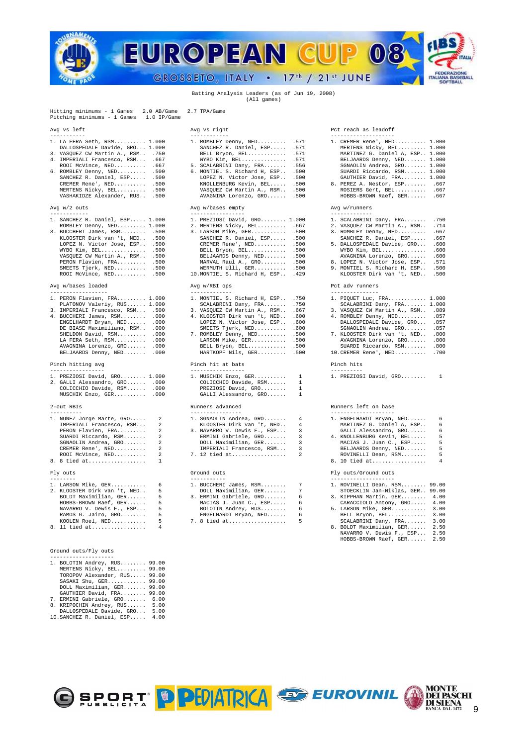

# Batting Analysis Leaders (as of Jun 19, 2008) (All games)

Hitting minimums - 1 Games 2.0 AB/Game 2.7 TPA/Game Pitching minimums - 1 Games 1.0 IP/Game

| 1. LA FERA Seth, RSM 1.000         |      |
|------------------------------------|------|
| DALLOSPEDALE Davide, GRO 1.000     |      |
| 3. VASQUEZ CW Martin A., RSM . 750 |      |
| 4. IMPERIALI Francesco, RSM        | .667 |
| ROOI McVince, NED                  | .667 |
| 6. ROMBLEY Denny, NED              | .500 |
| SANCHEZ R. Daniel, ESP .500        |      |

| 1. SANCHEZ R. Daniel, ESP 1.000 | 1. PREZIOSI David, GRO 1.000        | 1. SCALABRINI Dany, FRA .750       |  |
|---------------------------------|-------------------------------------|------------------------------------|--|
| ROMBLEY Denny, NED 1.000        | 2. MERTENS Nicky, BEL .667          | 2. VASQUEZ CW Martin A., RSM . 714 |  |
| 3. BUCCHERI James, RSM .500     | 3. LARSON Mike, GER .500            | 3. ROMBLEY Denny, NED .667         |  |
| KLOOSTER Dirk van 't, NED .500  | SANCHEZ R. Daniel, ESP .500         | SANCHEZ R. Daniel, ESP .667        |  |
| LOPEZ N. Victor Jose, ESP .500  | CREMER Rene', NED .500              | 5. DALLOSPEDALE Davide, GRO .600   |  |
| WYBO Kim, BEL .500              | BELL Bryon, BEL .500                | WYBO Kim, BEL .600                 |  |
| VASOUEZ CW Martin A., RSM .500  | BELJAARDS Denny, NED .500           | AVAGNINA Lorenzo, GRO .600         |  |
| PERON Flavien, FRA .500         | MARVAL Raul A., GRO .500            | 8. LOPEZ N. Victor Jose, ESP . 571 |  |
| SMEETS Tjerk, NED .500          | WERMUTH Ulli, GER .500              | 9. MONTIEL S. Richard H, ESP .500  |  |
| ROOI McVince, NED .500          | 10. MONTIEL S. Richard H. ESP . 429 | KLOOSTER Dirk van 't, NED., .500   |  |

# Avg w/bases loaded Avg w/RBI ops Pct adv runners

| 1. PERON FIAVIEN, FRA 1.000<br>PLATONOV Valeriy, RUS 1.000 |                   | I. MUNIIEL S. KICHAPU H, ESP<br>SCALABRINI Dany, FRA | .<br>.750      | I. RIOULI DUC, PRA<br>SCALABRINI Dany, F |
|------------------------------------------------------------|-------------------|------------------------------------------------------|----------------|------------------------------------------|
| 3. IMPERIALI Francesco, RSM .500                           |                   | 3. VASQUEZ CW Martin A., RSM 667                     |                | 3. VASOUEZ CW Martin                     |
| 4. BUCCHERI James, RSM                                     | .000              | 4. KLOOSTER Dirk van 't, NED                         | .600           | 4. ROMBLEY Denny, NED                    |
| ENGELHARDT Bryan, NED                                      | .000              | LOPEZ N. Victor Jose, ESP                            | .600           | DALLOSPEDALE David                       |
| DE BIASE Maximiliano, RSM                                  | .000              | SMEETS Tjerk, NED                                    | .600           | SGNAOLIN Andrea, G                       |
| SHELDON David, RSM                                         | .000              | 7. ROMBLEY Denny, NED                                | .500           | 7. KLOOSTER Dirk van                     |
| LA FERA Seth, RSM                                          | .000              | LARSON Mike, GER                                     | .500           | AVAGNINA Lorenzo,                        |
| AVAGNINA Lorenzo, GRO                                      | .000              | BELL Bryon, BEL .500                                 |                | SUARDI Riccardo, R                       |
| BELJAARDS Denny, NED                                       | .000              | HARTKOPF Nils, GER .500                              |                | 10. CREMER Rene', NED.                   |
| Pinch hitting avg                                          |                   | Pinch hit at bats                                    |                | Pinch hits                               |
| -----------------<br>1. PREZIOSI David, GRO 1.000          |                   | -----------------<br>1. MUSCHIK Enzo, GER            | 1              | ----------<br>1. PREZIOSI David, GR      |
| 2. GALLI Alessandro, GRO                                   | .000              | COLICCHIO Davide, RSM                                | 1              |                                          |
| COLICCHIO Davide, RSM                                      | .000              | PREZIOSI David, GRO                                  | 1              |                                          |
| MUSCHIK Enzo, GER                                          | .000              | GALLI Alessandro, GRO                                | 1              |                                          |
| 2-out RBIs                                                 |                   | Runners advanced                                     |                | Runners left on base                     |
|                                                            |                   | ----------------                                     |                | --------------------                     |
| 1. NUNEZ Jorge Marte, GRO                                  | 2                 | 1. SGNAOLIN Andrea, GRO                              | 4              | 1. ENGELHARDT Bryan,                     |
| IMPERIALI Francesco, RSM                                   | 2                 | KLOOSTER Dirk van 't, NED                            | 4              | MARTINEZ G. Daniel                       |
| PERON Flavien, FRA                                         | $\mathfrak{D}$    | 3. NAVARRO V. Dewis F., ESP                          | 3              | GALLI Alessandro,                        |
| SUARDI Riccardo, RSM                                       | 2.                | ERMINI Gabriele, GRO                                 | 3              | 4. KNOLLENBURG Kevin,                    |
| SGNAOLIN Andrea, GRO                                       | 2                 | DOLL Maximilian, GER                                 | 3              | MACIAS J. Juan C.,                       |
| CREMER Rene', NED                                          | 2                 | IMPERIALI Francesco, RSM                             | 3              | BELJAARDS Denny, N                       |
| ROOI McVince, NED                                          |                   | 7. 12 tied at                                        | $\mathfrak{D}$ | ROVINELLI Dean, RS                       |
| 8. 8 tied at                                               | 1                 |                                                      |                | 8. 10 tied at                            |
| Fly outs                                                   |                   | Ground outs                                          |                | Fly outs/Ground outs                     |
| 1. LARSON Mike, GER                                        | $6 \qquad \qquad$ | -----------<br>1. BUCCHERI James, RSM 7              |                | 1. ROVINELLI Dean, RS                    |
|                                                            |                   |                                                      |                |                                          |

| 2. KLOOSTER Dirk van 't, NED | ţ |
|------------------------------|---|
| BOLDT Maximilian, GER        | C |
| HOBBS-BROWN Raef, GER        | ı |
| NAVARRO V. Dewis F., ESP     | ŗ |
| RAMOS G. Jairo, GRO          | ŗ |
| KOOLEN Roel, NED             | t |
| 8. 11 tied at                | ź |
|                              |   |

## Ground outs/Fly outs

| 1. BOLOTIN Andrey, RUS 99.00 |       |
|------------------------------|-------|
| MERTENS Nicky, BEL 99.00     |       |
| TOROPOV Alexander, RUS       | 99.00 |
| SASAKI Shu, GER 99.00        |       |
| DOLL Maximilian, GER         | 99.00 |
| GAUTHIER David, FRA 99.00    |       |
| 7. ERMINI Gabriele, GRO      | 6.00  |
| 8. KRIPOCHIN Andrey, RUS     | 5.00  |
| DALLOSPEDALE Davide, GRO     | 5.00  |
| 10. SANCHEZ R. Daniel, ESP   | 4.00  |

| Avg vs left                                                                                                                                                                                                                                                                                                         | Avg vs right                                                                                                                                                                                                                                                                                                   | Pct reach as leadoff                                                                                                                                                                                                          |
|---------------------------------------------------------------------------------------------------------------------------------------------------------------------------------------------------------------------------------------------------------------------------------------------------------------------|----------------------------------------------------------------------------------------------------------------------------------------------------------------------------------------------------------------------------------------------------------------------------------------------------------------|-------------------------------------------------------------------------------------------------------------------------------------------------------------------------------------------------------------------------------|
|                                                                                                                                                                                                                                                                                                                     |                                                                                                                                                                                                                                                                                                                |                                                                                                                                                                                                                               |
| 1. LA FERA Seth, RSM 1.000<br>DALLOSPEDALE Davide, GRO 1.000<br>3. VASQUEZ CW Martin A., RSM .750<br>4. IMPERIALI Francesco, RSM .667<br>ROOI McVince, NED .667<br>6. ROMBLEY Denny, NED .500<br>SANCHEZ R. Daniel, ESP .500<br>CREMER Rene', NED .500<br>MERTENS Nicky, BEL .500<br>VASHAKIDZE Alexander, RUS .500 | 1. ROMBLEY Denny, NED 571<br>SANCHEZ R. Daniel, ESP .571<br>BELL Bryon, BEL .571<br>$WYBO$ Kim, BEL .571<br>5. SCALABRINI Dany, FRA .556<br>6. MONTIEL S. Richard H, ESP .500<br>LOPEZ N. Victor Jose, ESP .500<br>KNOLLENBURG Kevin, BEL .500<br>VASQUEZ CW Martin A., RSM .500<br>AVAGNINA Lorenzo, GRO .500 | 1. CREMER Rene', NED.<br>MERTENS Nicky, BEL<br>MARTINEZ G. Daniel<br>BELJAARDS Denny, N<br>SGNAOLIN Andrea, G<br>SUARDI Riccardo, R<br>GAUTHIER David, FR<br>8. PEREZ A. Nestor, E<br>ROSIERS Gert, BEL.<br>HOBBS-BROWN Raef, |
| Avg $w/2$ outs                                                                                                                                                                                                                                                                                                      | Avg w/bases empty                                                                                                                                                                                                                                                                                              | Avq w/runners                                                                                                                                                                                                                 |
|                                                                                                                                                                                                                                                                                                                     | -----------------                                                                                                                                                                                                                                                                                              |                                                                                                                                                                                                                               |

| 1. SANCHEZ R. Daniel, ESP 1.000 | 1. PREZIOSI David, GRO 1.000        | 1. SCALABRINI Dany, FRA .750       |  |
|---------------------------------|-------------------------------------|------------------------------------|--|
| ROMBLEY Denny, NED 1.000        | 2. MERTENS Nicky, BEL .667          | 2. VASQUEZ CW Martin A., RSM .714  |  |
| 3. BUCCHERI James, RSM .500     | 3. LARSON Mike, GER .500            | 3. ROMBLEY Denny, NED .667         |  |
| KLOOSTER Dirk van 't, NED .500  | SANCHEZ R. Daniel, ESP .500         | SANCHEZ R. Daniel, ESP .667        |  |
| LOPEZ N. Victor Jose, ESP .500  | CREMER Rene', NED .500              | 5. DALLOSPEDALE Davide, GRO .600   |  |
| WYBO Kim, BEL .500              | BELL Bryon, BEL .500                | $WYBO$ Kim, $BEL$ .600             |  |
| VASOUEZ CW Martin A., RSM .500  | BELJAARDS Denny, NED .500           | AVAGNINA Lorenzo, GRO .600         |  |
| PERON Flavien, FRA .500         | MARVAL Raul A., GRO .500            | 8. LOPEZ N. Victor Jose, ESP . 571 |  |
| SMEETS Tjerk, NED .500          | WERMUTH Ulli, GER .500              | 9. MONTIEL S. Richard H, ESP .500  |  |
| $ROOT$ McVince, $NED$ 500       | 10. MONTIEL S. Richard H. ESP., 429 | KLOOSTER Dirk van 't. NED 500      |  |

| 1. PERON Flavien, FRA 1.000      | 1. MONTIEL S. Richard H. ESP .750 | 1. PIQUET Luc, FRA 1.000          |
|----------------------------------|-----------------------------------|-----------------------------------|
| PLATONOV Valeriy, RUS 1.000      | $SCALABRINI$ Dany, $FRA$ .750     | SCALABRINI Dany, FRA 1.000        |
| 3. IMPERIALI Francesco, RSM .500 | 3. VASQUEZ CW Martin A., RSM 667  | 3. VASQUEZ CW Martin A., RSM .889 |
| 4. BUCCHERI James, RSM .000      | 4. KLOOSTER Dirk van 't, NED .600 | 4. ROMBLEY Denny, NED .857        |
| ENGELHARDT Bryan, NED .000       | LOPEZ N. Victor Jose, ESP., .600  | DALLOSPEDALE Davide, GRO .857     |
| DE BIASE Maximiliano, RSM .000   | SMEETS Tierk, NED .600            | SGNAOLIN Andrea, GRO .857         |
| SHELDON David, RSM .000          | 7. ROMBLEY Denny, NED .500        | 7. KLOOSTER Dirk van 't, NED .800 |
| LA FERA Seth, RSM .000           | LARSON Mike, GER 500              | AVAGNINA Lorenzo, GRO .800        |
| AVAGNINA Lorenzo, GRO .000       | BELL Bryon, BEL .500              | SUARDI Riccardo, RSM .800         |
| BELJAARDS Denny, NED .000        | HARTKOPF Nils, GER 500            | $10.$ CREMER Rene', NED .700      |
| Pinch hitting avg                | Pinch hit at bats                 | Pinch hits                        |
| -----------------                |                                   |                                   |

| 1. MUSCHIK Enzo, GER  |
|-----------------------|
| COLICCHIO Davide, RSM |
| PREZIOSI David, GRO   |
| GALLI Alessandro, GRO |

| 1. SGNAOLIN Andrea, GRO     |   |
|-----------------------------|---|
| KLOOSTER Dirk van 't, NED   |   |
| 3. NAVARRO V. Dewis F., ESP |   |
| ERMINI Gabriele, GRO        | Í |
| DOLL Maximilian, GER        |   |
| IMPERIALI Francesco, RSM    |   |
| 7. 12 tied at               |   |
|                             |   |

| 1. LARSON Mike, GER 6          | 1. BUCCHERI James, RSM 7    | 1. ROVINELLI Dean, RSM 99.00      |
|--------------------------------|-----------------------------|-----------------------------------|
| 2. KLOOSTER Dirk van 't. NED 5 | DOLL Maximilian, GER 7      | STOECKLIN Jan-Niklas, GER., 99.00 |
| BOLDT Maximilian, GER 5        | 3. ERMINI Gabriele, GRO 6   | 3. KIPPHAN Martin, GER 4.00       |
| HOBBS-BROWN Raef, GER 5        | MACIAS J. Juan C., ESP 6    | CARACCIOLO Antony, GRO 4.00       |
| NAVARRO V. Dewis F., ESP 5     | BOLOTIN Andrey, RUS 6       | 5. LARSON Mike, GER 3.00          |
| RAMOS G. Jairo, GRO 5          | $ENGELHARDT$ Brvan, $NED$ 6 | BELL Bryon, BEL 3.00              |
| $KOOLEN$ Roel, $NED$ 5         | 7. 8 tied at 5              | SCALABRINI Dany, FRA 3.00         |
| 8. 11 tied at 4                |                             | 8. BOLDT Maximilian, GER 2.50     |
|                                |                             | NAVARRO V. Dewis F., ESP 2.50     |
|                                |                             | HOBBS-BROWN Raef, GER 2.50        |

| 1. LA FERA Seth, RSM 1.000        | 1. ROMBLEY Denny, NED .571        | 1. CREMER Rene', NED 1.000      |
|-----------------------------------|-----------------------------------|---------------------------------|
| DALLOSPEDALE Davide, GRO 1.000    | SANCHEZ R. Daniel, ESP .571       | MERTENS Nicky, BEL 1.000        |
| 3. VASQUEZ CW Martin A., RSM .750 | BELL Bryon, BEL .571              | MARTINEZ G. Daniel A, ESP 1.000 |
| 4. IMPERIALI Francesco, RSM .667  | WYBO Kim, BEL .571                | BELJAARDS Denny, NED 1.000      |
| ROOI McVince, NED .667            | 5. SCALABRINI Dany, FRA .556      | SGNAOLIN Andrea, GRO 1.000      |
| 6. ROMBLEY Denny, NED .500        | 6. MONTIEL S. Richard H, ESP .500 | SUARDI Riccardo, RSM 1.000      |
| SANCHEZ R. Daniel, ESP .500       | LOPEZ N. Victor Jose, ESP .500    | GAUTHIER David, FRA 1.000       |
| CREMER Rene', NED .500            | KNOLLENBURG Kevin, BEL .500       | 8. PEREZ A. Nestor, ESP . 667   |
| MERTENS Nicky, BEL .500           | VASOUEZ CW Martin A., RSM .500    | ROSIERS Gert, BEL .667          |
| VASHAKIDZE Alexander, RUS .500    | AVAGNINA Lorenzo, GRO .500        | HOBBS-BROWN Raef, GER .667      |

|  | CONT NOD TNT |  |  |  |  |  |  |
|--|--------------|--|--|--|--|--|--|

- 
- 

| SANCHEZ R. Daniel, ESP . 667 |                |
|------------------------------|----------------|
| . DALLOSPEDALE Davide, GRO   | .600           |
| WYBO Kim, BEL                | .600           |
| AUACHIMA Loronno CDO         | $\epsilon$ 0.0 |

- 
- 

| 1. PIQUET Luc, FRA 1.000           |      |
|------------------------------------|------|
| SCALABRINI Dany, FRA 1.000         |      |
| 3. VASQUEZ CW Martin A., RSM . 889 |      |
| 1. ROMBLEY Denny, NED              | .857 |
| DALLOSPEDALE Davide, GRO           | .857 |
| SGNAOLIN Andrea, GRO               | .857 |
|                                    |      |

| 7. KLOOSTER Dirk van 't, NED .800 |  |  |     |
|-----------------------------------|--|--|-----|
| AVAGNINA Lorenzo, GRO .800        |  |  |     |
| CHAPPT Digoordo PCM               |  |  | 900 |

| SUARDI RICCALUO, ROM |  |  |  |  |  |  | .ovv |  |
|----------------------|--|--|--|--|--|--|------|--|
| 10.CREMER Rene', NED |  |  |  |  |  |  | .700 |  |
|                      |  |  |  |  |  |  |      |  |

1. PREZIOSI David, GRO......... 1<br>1

# 2-out RBIs Runners advanced Runners left on base

| 1. NUNEZ Jorge Marte, GRO      2 | 1. SGNAOLIN Andrea, GRO 4     | 1. ENGELHARDT Bryan, NED 6  |    |
|----------------------------------|-------------------------------|-----------------------------|----|
| IMPERIALI Francesco, RSM 2       | KLOOSTER Dirk van 't, NED 4   | MARTINEZ G. Daniel A, ESP 6 |    |
| PERON Flavien, FRA 2             | 3. NAVARRO V. Dewis F., ESP 3 | GALLI Alessandro, GRO 6     |    |
| SUARDI Riccardo, RSM 2           | ERMINI Gabriele, GRO 3        | 4. KNOLLENBURG Kevin, BEL 5 |    |
| SGNAOLIN Andrea, GRO 2           | DOLL Maximilian, GER 3        | MACIAS J. Juan C., ESP 5    |    |
| CREMER Rene', $NED$ 2            | IMPERIALI Francesco, RSM 3    | BELJAARDS Denny, NED 5      |    |
|                                  |                               | ROVINELLI Dean, RSM         | -5 |
| 8. 8 tied at 1                   |                               | 8. 10 tied at 4             |    |
| Fly outs                         | Ground outs                   | Fly outs/Ground outs        |    |
|                                  |                               |                             |    |

- 
- 
- 
- 
- 
- 
- 

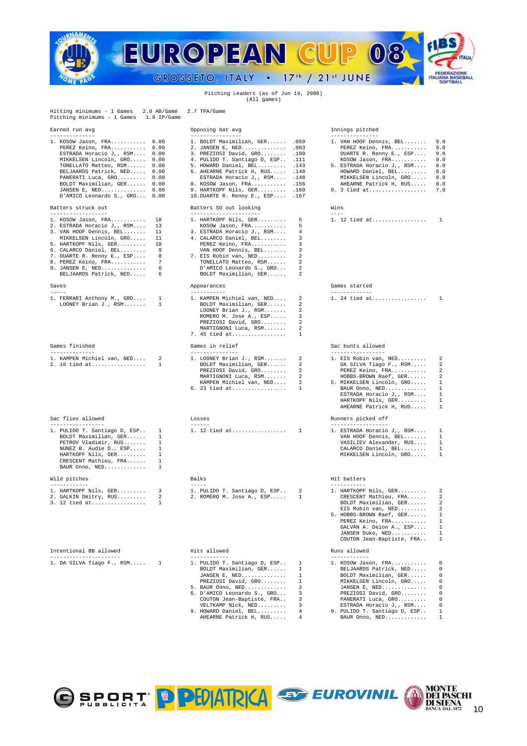

## Pitching Leaders (as of Jun 19, 2008) (All games)

| Hitting minimums - 1 Games 2.0 AB/Game<br>Pitching minimums - 1 Games 1.0 IP/Game                                                                                                                                                                                                                                                | 2.7 TPA/Game                                                                                                                                                                                                                                                                                                                                    |                                                                                                                                                                                                                                                                                                                                                                               |
|----------------------------------------------------------------------------------------------------------------------------------------------------------------------------------------------------------------------------------------------------------------------------------------------------------------------------------|-------------------------------------------------------------------------------------------------------------------------------------------------------------------------------------------------------------------------------------------------------------------------------------------------------------------------------------------------|-------------------------------------------------------------------------------------------------------------------------------------------------------------------------------------------------------------------------------------------------------------------------------------------------------------------------------------------------------------------------------|
| Earned run avg                                                                                                                                                                                                                                                                                                                   | Opposing bat avg                                                                                                                                                                                                                                                                                                                                | Innings pitched                                                                                                                                                                                                                                                                                                                                                               |
| --------------<br>1. KOSOW Jason, FRA 0.00<br>PEREZ Keino, FRA 0.00<br>ESTRADA Horacio J,, RSM 0.00<br>MIKKELSEN Lincoln, GRO 0.00<br>TONELLATO Matteo, RSM 0.00<br>BELJAARDS Patrick, NED 0.00<br>PANERATI Luca, GRO 0.00<br>BOLDT Maximilian, GER 0.00<br>JANSEN E, NED 0.00<br>D'AMICO Leonardo S., GRO 0.00                  | ---------------<br>1. BOLDT Maximilian, GER . 059<br>2. JANSEN E, NED .083<br>3. PREZIOSI David, GRO .100<br>4. PULIDO T. Santiago D, ESP . 111<br>5. HOWARD Daniel, BEL .143<br>6. AHEARNE Patrick H, RUS . 148<br>ESTRADA Horacio J,, RSM .148<br>8. KOSOW Jason, FRA .156<br>9. HARTKOPF Nils, GER .160<br>10. DUARTE R. Renny E., ESP . 167 | --------------<br>1. VAN HOOF Dennis, BEL<br>9.0<br>9.0<br>PEREZ Keino, FRA<br>DUARTE R. Renny E., ESP<br>9.0<br>KOSOW Jason, FRA<br>9.0<br>5. ESTRADA Horacio J,, RSM<br>8.0<br>HOWARD Daniel, BEL<br>8.0<br>MIKKELSEN Lincoln, GRO<br>8.0<br>AHEARNE Patrick H, RUS<br>8.0<br>9. 3 tied at<br>7.0                                                                           |
| Batters struck out<br>------------------                                                                                                                                                                                                                                                                                         | Batters SO out looking<br>---------------------                                                                                                                                                                                                                                                                                                 | Wins                                                                                                                                                                                                                                                                                                                                                                          |
| 1. KOSOW Jason, FRA<br>18<br>2. ESTRADA Horacio J,, RSM<br>13<br>3. VAN HOOF Dennis, BEL<br>11<br>MIKKELSEN Lincoln, GRO<br>11<br>5. HARTKOPF Nils, GER<br>10 <sup>°</sup><br>Q<br>6. CALARCO Daniel, BEL<br>7. DUARTE R. Renny E., ESP<br>8<br>7<br>8. PEREZ Keino, FRA<br>9. JANSEN E, NED<br>6<br>BELJAARDS Patrick, NED<br>6 | 1. HARTKOPF Nils, GER<br>KOSOW Jason, FRA<br>3. ESTRADA Horacio J,, RSM<br>4. CALARCO Daniel, BEL<br>PEREZ Keino, FRA<br>VAN HOOF Dennis, BEL<br>7. EIS Robin van, NED<br>TONELLATO Matteo, RSM<br>D'AMICO Leonardo S., GRO<br>BOLDT Maximilian, GER                                                                                            | 5<br>1. 12 tied at<br>$\overline{1}$<br>5<br>4<br>3<br>3<br>२<br>2<br>$\mathcal{D}$<br>2<br>2                                                                                                                                                                                                                                                                                 |
| Saves<br>-----                                                                                                                                                                                                                                                                                                                   | Appearances<br>-----------                                                                                                                                                                                                                                                                                                                      | Games started<br>-------------                                                                                                                                                                                                                                                                                                                                                |
| 1. FERRARI Anthony M., GRO<br>$\mathbf{1}$<br>LOONEY Brian J., RSM<br>$\mathbf{1}$                                                                                                                                                                                                                                               | 1. KAMPEN Michiel van, NED<br>BOLDT Maximilian, GER<br>LOONEY Brian J., RSM<br>ROMERO M. Jose A., ESP<br>PREZIOSI David, GRO<br>MARTIGNONI Luca, RSM<br>7. 45 tied at                                                                                                                                                                           | 1. 24 tied at<br>$\overline{1}$<br>$\mathcal{L}$<br>$\mathcal{L}$<br>2<br>$\mathfrak{D}$<br>2<br>2<br>-1.                                                                                                                                                                                                                                                                     |
| Games finished                                                                                                                                                                                                                                                                                                                   | Games in relief                                                                                                                                                                                                                                                                                                                                 | Sac bunts allowed                                                                                                                                                                                                                                                                                                                                                             |
| --------------<br>1. KAMPEN Michiel van, NED<br>2<br>2. 16 tied at<br>$\overline{1}$                                                                                                                                                                                                                                             | ---------------<br>1. LOONEY Brian J., RSM<br>BOLDT Maximilian, GER<br>PREZIOSI David, GRO<br>MARTIGNONI Luca, RSM<br>KAMPEN Michiel van, NED<br>6. 23 tied at                                                                                                                                                                                  | -----------------<br>2<br>1. EIS Robin van, NED<br>2<br>2<br>DA SILVA Tiago F., RSM<br>2<br>2<br>PEREZ Keino, FRA<br>2<br>2<br>HOBBS-BROWN Raef, GER<br>2<br>2<br>5. MIKKELSEN Lincoln, GRO<br>$\mathbf{1}$<br>$\mathbf{1}$<br>$\mathbf{1}$<br>BAUR Onno, NED<br>1<br>ESTRADA Horacio J,, RSM<br>HARTKOPF Nils, GER<br>$\mathbf{1}$<br>AHEARNE Patrick H, RUS<br>$\mathbf{1}$ |
| Sac flies allowed<br>-----------------                                                                                                                                                                                                                                                                                           | Losses<br>$- - - - - -$                                                                                                                                                                                                                                                                                                                         | Runners picked off<br>-----------------                                                                                                                                                                                                                                                                                                                                       |
| 1. PULIDO T. Santiago D, ESP<br>$\mathbf{1}$<br>BOLDT Maximilian, GER<br>$\mathbf{1}$<br>PETROV Vladimir, RUS<br>$\mathbf{1}$<br>NUNEZ B. Audie D., ESP<br>$\mathbf{1}$<br>$\mathbf{1}$<br>HARTKOPF Nils, GER<br>$\mathbf{1}$<br>CRESCENT Mathieu, FRA<br>BAUR Onno, NED<br>$\mathbf{1}$                                         | 1. 12 tied at                                                                                                                                                                                                                                                                                                                                   | $\overline{1}$<br>1. ESTRADA Horacio J,, RSM<br>$\overline{1}$<br>VAN HOOF Dennis, BEL<br>$\mathbf{1}$<br>VASILIEV Alexander, RUS<br>1<br>CALARCO Daniel, BEL<br>$\mathbf{1}$<br>$\mathbf{1}$<br>MIKKELSEN Lincoln, GRO                                                                                                                                                       |
| Wild pitches<br>------------                                                                                                                                                                                                                                                                                                     | Balks<br>$- - - - - -$                                                                                                                                                                                                                                                                                                                          | Hit batters<br>-----------                                                                                                                                                                                                                                                                                                                                                    |
| 1. HARTKOPF Nils, GER<br>3<br>2. GALKIN Dmitry, RUS<br>2<br>$\mathbf{1}$<br>3. 12 tied at                                                                                                                                                                                                                                        | 1. PULIDO T. Santiago D, ESP<br>2. ROMERO M. Jose A., ESP                                                                                                                                                                                                                                                                                       | 2<br>1. HARTKOPF Nils, GER<br>-2<br>1<br>CRESCENT Mathieu, FRA<br>$\mathcal{L}$<br>BOLDT Maximilian, GER<br>2<br>EIS Robin van, NED<br>2<br>5. HOBBS-BROWN Raef, GER<br>$\mathbf{1}$                                                                                                                                                                                          |

| Intentional BB allowed    |  |
|---------------------------|--|
|                           |  |
| 1. DA SILVA Tiago F., RSM |  |

| JANSEN E, $NED$ 0.00<br>D'AMICO Leonardo S., GRO 0.00                                                                                                                                                                                                        |                                                                   | 9. HARTKOPF Nils, GER .160<br>10. DUARTE R. Renny E., ESP . 167                                                                                                                                                                                      |                                                                      | 9. 3 tied at 7.0                                                                                                                                                                                                                         |                                                                                                               |
|--------------------------------------------------------------------------------------------------------------------------------------------------------------------------------------------------------------------------------------------------------------|-------------------------------------------------------------------|------------------------------------------------------------------------------------------------------------------------------------------------------------------------------------------------------------------------------------------------------|----------------------------------------------------------------------|------------------------------------------------------------------------------------------------------------------------------------------------------------------------------------------------------------------------------------------|---------------------------------------------------------------------------------------------------------------|
| Batters struck out<br>------------------                                                                                                                                                                                                                     |                                                                   | Batters SO out looking<br>----------------------                                                                                                                                                                                                     |                                                                      | Wins<br>$- - - -$                                                                                                                                                                                                                        |                                                                                                               |
| 1. KOSOW Jason, FRA<br>2. ESTRADA Horacio J,, RSM<br>3. VAN HOOF Dennis, BEL<br>MIKKELSEN Lincoln, GRO<br>5. HARTKOPF Nils, GER<br>6. CALARCO Daniel, BEL<br>7. DUARTE R. Renny E., ESP<br>8. PEREZ Keino, FRA<br>9. JANSEN E, NED<br>BELJAARDS Patrick, NED | 18<br>13<br>11<br>11<br>10<br>9<br>8<br>$7\phantom{.0}$<br>6<br>6 | 1. HARTKOPF Nils, GER<br>KOSOW Jason, FRA<br>3. ESTRADA Horacio J,, RSM<br>4. CALARCO Daniel, BEL<br>PEREZ Keino, FRA<br>VAN HOOF Dennis, BEL<br>7. EIS Robin van, NED<br>TONELLATO Matteo, RSM<br>D'AMICO Leonardo S., GRO<br>BOLDT Maximilian, GER | 5<br>-5<br>4<br>3<br>3<br>3<br>2<br>-2<br>2<br>2                     | 1. 12 tied at                                                                                                                                                                                                                            | <sup>1</sup>                                                                                                  |
| Saves<br>$- - - - -$                                                                                                                                                                                                                                         |                                                                   | Appearances<br>-----------                                                                                                                                                                                                                           |                                                                      | Games started<br>-------------                                                                                                                                                                                                           |                                                                                                               |
| 1. FERRARI Anthony M., GRO<br>LOONEY Brian J., RSM                                                                                                                                                                                                           | 1<br>1                                                            | 1. KAMPEN Michiel van, NED<br>BOLDT Maximilian, GER<br>LOONEY Brian J., RSM<br>ROMERO M. Jose A., ESP<br>PREZIOSI David, GRO<br>MARTIGNONI Luca, RSM<br>7. 45 tied at                                                                                | 2<br>2<br>2<br>$\mathcal{L}$<br>2<br>$\overline{2}$<br>$\mathbf{1}$  | 1. 24 tied at                                                                                                                                                                                                                            | $\mathbf{1}$                                                                                                  |
| Games finished<br>--------------                                                                                                                                                                                                                             |                                                                   | Games in relief<br>---------------                                                                                                                                                                                                                   |                                                                      | Sac bunts allowed<br>-----------------                                                                                                                                                                                                   |                                                                                                               |
| 1. KAMPEN Michiel van, NED<br>2. 16 tied at                                                                                                                                                                                                                  | 2<br>-1                                                           | 1. LOONEY Brian J., RSM<br>BOLDT Maximilian, GER<br>PREZIOSI David, GRO<br>MARTIGNONI Luca, RSM<br>KAMPEN Michiel van, NED<br>6. 23 tied at                                                                                                          | 2<br>2<br>2<br>$\mathcal{L}$<br>2<br>$\mathbf{1}$                    | 1. EIS Robin van, NED<br>DA SILVA Tiago F., RSM<br>PEREZ Keino, FRA<br>HOBBS-BROWN Raef, GER<br>5. MIKKELSEN Lincoln, GRO<br>BAUR Onno, NED<br>ESTRADA Horacio J,, RSM<br>HARTKOPF Nils, GER<br>AHEARNE Patrick H, RUS                   | 2<br>2<br>$\overline{a}$<br>$\overline{\mathbf{c}}$<br>$\mathbf{1}$<br>$\mathbf{1}$<br>$\mathbf{1}$<br>1<br>1 |
| Sac flies allowed<br>-----------------                                                                                                                                                                                                                       |                                                                   | Losses<br>$- - - - - -$                                                                                                                                                                                                                              |                                                                      | Runners picked off<br>------------------                                                                                                                                                                                                 |                                                                                                               |
| 1. PULIDO T. Santiago D, ESP<br>BOLDT Maximilian, GER<br>PETROV Vladimir, RUS<br>NUNEZ B. Audie D., ESP<br>HARTKOPF Nils, GER<br>CRESCENT Mathieu, FRA<br>BAUR Onno, NED                                                                                     | 1<br>$\mathbf{1}$<br>1<br>$\mathbf{1}$<br>1<br>1<br>1             | 1. 12 tied at                                                                                                                                                                                                                                        | 1                                                                    | 1. ESTRADA Horacio J,, RSM<br>VAN HOOF Dennis, BEL<br>VASILIEV Alexander, RUS<br>CALARCO Daniel, BEL<br>MIKKELSEN Lincoln, GRO                                                                                                           | 1<br>$\mathbf{1}$<br>1<br>1<br>$\mathbf{1}$                                                                   |
| Wild pitches                                                                                                                                                                                                                                                 |                                                                   | Balks<br>$- - - - -$                                                                                                                                                                                                                                 |                                                                      | Hit batters                                                                                                                                                                                                                              |                                                                                                               |
| ------------<br>1. HARTKOPF Nils, GER<br>2. GALKIN Dmitry, RUS<br>3. 12 tied at                                                                                                                                                                              | 3<br>2<br>1                                                       | 1. PULIDO T. Santiago D, ESP<br>2. ROMERO M. Jose A., ESP                                                                                                                                                                                            | 2<br>1                                                               | -----------<br>1. HARTKOPF Nils, GER<br>CRESCENT Mathieu, FRA<br>BOLDT Maximilian, GER<br>EIS Robin van, NED<br>5. HOBBS-BROWN Raef, GER<br>PEREZ Keino, FRA<br>GALVAN A. Deion A., ESP<br>JANSEN Duko, NED<br>COUTON Jean-Baptiste, FRA | 2<br>2<br>2<br>2<br>$\mathbf{1}$<br>1<br>$\mathbf{1}$<br>$\mathbf{1}$<br>1                                    |
| Intentional BB allowed<br>----------------------                                                                                                                                                                                                             |                                                                   | Hits allowed<br>------------                                                                                                                                                                                                                         |                                                                      | Runs allowed<br>------------                                                                                                                                                                                                             |                                                                                                               |
| 1. DA SILVA Tiago F., RSM                                                                                                                                                                                                                                    | 1                                                                 | 1. PULIDO T. Santiago D, ESP<br>BOLDT Maximilian, GER<br>PREZIOSI David, GRO<br>5. BAUR Onno, NED                                                                                                                                                    | 1<br><sup>1</sup><br>$\blacksquare$<br>$\mathbf{1}$<br>$\mathcal{L}$ | 1. KOSOW Jason, FRA<br>BELJAARDS Patrick, NED<br>BOLDT Maximilian, GER<br>MIKKELSEN Lincoln, GRO<br>JANSEN E, $NED$                                                                                                                      | 0<br>$^{\circ}$<br>$\overline{0}$<br>$\mathbf 0$<br>$\Omega$                                                  |

# 1. KOSOW Jason, FRA........... 18 1. HARTKOPF Nils, GER......... 5 1. 12 tied at................. 1 Games started

|  |  |  |  |  | 1. 24 tied at |  |  |  |  |  |  |  |  |  |  |
|--|--|--|--|--|---------------|--|--|--|--|--|--|--|--|--|--|

# Sac bunts allowed

| EY Brian J., RSM 2        |                | 1. EIS Robin van, NED $2$   |  |
|---------------------------|----------------|-----------------------------|--|
| T Maximilian, GER       2 |                | DA SILVA Tiago F., RSM 2    |  |
| IOSI David, GRO           | $\overline{2}$ | PEREZ Keino, FRA 2          |  |
| IGNONI Luca, RSM          | $2^{10}$       | HOBBS-BROWN Raef, GER 2     |  |
|                           |                | 5. MIKKELSEN Lincoln. GRO 1 |  |
| ied at 1                  |                | BAUR Onno, NED 1            |  |
|                           |                | ESTRADA Horacio J,, RSM 1   |  |
|                           |                | HARTKOPF Nils, GER 1        |  |
|                           |                | AHEARNE Patrick H, RUS 1    |  |
|                           |                |                             |  |
|                           |                | Runners picked off          |  |
|                           |                |                             |  |

# 1. PULIDO T. Santiago D, ESP.. 1 1. 12 tied at................. 1 1. ESTRADA Horacio J,, RSM.... 1

|       | DO T. Santiago D, ESP<br>RO M. Jose A., ESP | 2 | 1. HARTKOPF Nils, GER<br>CRESCENT Mathieu, FRA 2<br>BOLDT Maximilian, GER 2<br>EIS Robin van. NED $2$<br>5. HOBBS-BROWN Raef, GER 1<br>PEREZ Keino, FRA 1<br>GALVAN A. Deion A., ESP 1 |  |
|-------|---------------------------------------------|---|----------------------------------------------------------------------------------------------------------------------------------------------------------------------------------------|--|
|       |                                             |   | JANSEN Duko, NED 1<br>COUTON Jean-Baptiste, FRA 1                                                                                                                                      |  |
| lowed |                                             |   | Runs allowed                                                                                                                                                                           |  |

|  | 1. DA SILVA Tiago F., RSM 1 |  | 1. PULIDO T. Santiago D, ESP 1 |  | 1. KOSOW Jason, FRA 0          |  |
|--|-----------------------------|--|--------------------------------|--|--------------------------------|--|
|  |                             |  | BOLDT Maximilian, GER 1        |  | BELJAARDS Patrick, NED 0       |  |
|  |                             |  | JANSEN E. NED $1$              |  | BOLDT Maximilian, GER 0        |  |
|  |                             |  | PREZIOSI David, $GRO$ 1        |  | MIKKELSEN Lincoln, GRO 0       |  |
|  |                             |  | $5.$ BAUR Onno, NED 2          |  | JANSEN E, NED $0$              |  |
|  |                             |  | 6. D'AMICO Leonardo S., GRO 3  |  | PREZIOSI David, GRO 0          |  |
|  |                             |  | COUTON Jean-Baptiste, FRA 3    |  | PANERATI Luca, GRO 0           |  |
|  |                             |  | VELTKAMP Nick, NED 3           |  | ESTRADA Horacio J., RSM 0      |  |
|  |                             |  | 9. HOWARD Daniel, BEL 4        |  | 9. PULIDO T. Santiago D, ESP 1 |  |
|  |                             |  | AHEARNE Patrick H, RUS 4       |  | BAUR Onno, NED 1               |  |



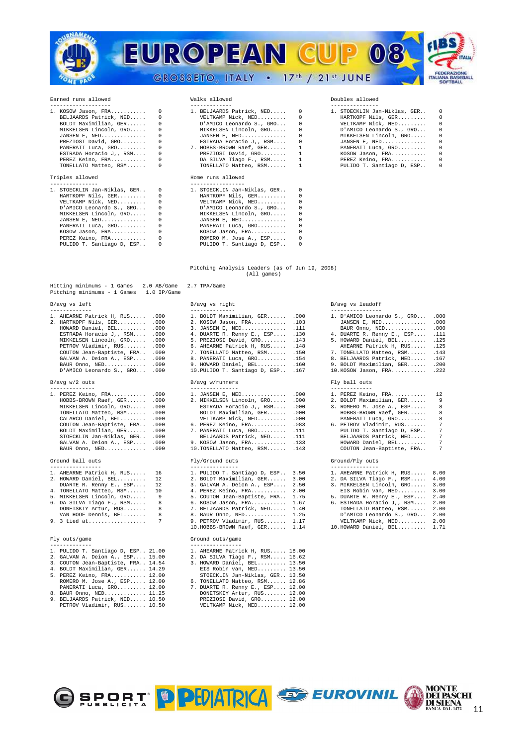

# Earned runs allowed Walks allowed Doubles allowed

| $1. KOSOW$ Jason, $FRA$ 0 | 1. BELJAARDS Patrick, NED 0 | 1. STOECKLIN Jan-Niklas, GER 0 |                |
|---------------------------|-----------------------------|--------------------------------|----------------|
| BELJAARDS Patrick, NED 0  | VELTKAMP Nick, NED 0        | HARTKOPF Nils, GER             | $\overline{0}$ |
| BOLDT Maximilian, GER 0   | D'AMICO Leonardo S., GRO 0  | VELTKAMP Nick, NED 0           |                |
| MIKKELSEN Lincoln, GRO 0  | MIKKELSEN Lincoln, GRO 0    | D'AMICO Leonardo S., GRO       | - 0            |
| JANSEN E, NED $0$         | JANSEN E, NED $0$           | MIKKELSEN Lincoln. GRO 0       |                |
| PREZIOSI David, GRO 0     | ESTRADA Horacio J,, RSM 0   | $JANSEN E. NED.$ 0             |                |
| PANERATI Luca, GRO 0      | 7. HOBBS-BROWN Raef, GER 1  | PANERATI Luca, GRO             | $\sim$ 0       |
| ESTRADA Horacio J,, RSM 0 | PREZIOSI David, GRO 1       | $KOSOW$ Jason, $FRA$ 0         |                |
| PEREZ Keino, FRA 0        | DA SILVA Tiago F., RSM 1    | PEREZ Keino, FRA 0             |                |
| TONELLATO Matteo, RSM 0   | TONELLATO Matteo, RSM 1     | PULIDO T. Santiago D, ESP      | $\bigcirc$     |
|                           |                             |                                |                |

| 1. STOECKLIN Jan-Niklas, GER 0 |          | 1. STOECKLIN Jan-Niklas, GER |          |
|--------------------------------|----------|------------------------------|----------|
| HARTKOPF Nils, GER             | $\Omega$ | HARTKOPF Nils, GER           | $\Omega$ |
| VELTKAMP Nick, NED             | $\Omega$ | VELTKAMP Nick, NED           | $\Omega$ |
| D'AMICO Leonardo S., GRO       | $\Omega$ | D'AMICO Leonardo S., GRO     | $\Omega$ |
| MIKKELSEN Lincoln. GRO         | 0        | MIKKELSEN Lincoln, GRO       |          |
| JANSEN E, NED                  |          | JANSEN E, NED                |          |
| PANERATI Luca, GRO             | $\Omega$ | PANERATI Luca, GRO           |          |
| KOSOW Jason, FRA               |          | KOSOW Jason, FRA             |          |
| PEREZ Keino, FRA               | $\Omega$ | ROMERO M. Jose A., ESP       |          |
| PULIDO T. Santiago D. ESP      |          | PULIDO T. Santiago D. ESP    |          |

# 0 1. BELJAARDS Patrick, NED..... 0 1

# Triples allowed **Home runs** allowed

| 1. STOECKLIN Jan-Niklas, GER 0 |            | 1. STOECKLIN Jan-Niklas, GER |          |
|--------------------------------|------------|------------------------------|----------|
| HARTKOPF Nils, GER             | $\sim$ 0   | HARTKOPF Nils, GER           | $\Omega$ |
| VELTKAMP Nick, NED             | $\Omega$   | VELTKAMP Nick, NED           |          |
| D'AMICO Leonardo S., GRO       | $^{\circ}$ | D'AMICO Leonardo S., GRO     | $\Omega$ |
| MIKKELSEN Lincoln, GRO         | $\Omega$   | MIKKELSEN Lincoln, GRO       |          |
| JANSEN E, NED                  | 0          | JANSEN E, NED                |          |
| PANERATI Luca, GRO             |            | PANERATI Luca, GRO           |          |
| KOSOW Jason, FRA               | $^{\circ}$ | KOSOW Jason, FRA             |          |
| PEREZ Keino, FRA               | 0          | ROMERO M. Jose A., ESP       |          |
| PULIDO T. Santiago D, ESP      |            | PULIDO T. Santiago D, ESP    |          |
|                                |            |                              |          |

| 1. KOSOW Jason, FRA 0     | 1. BELJAARDS Patrick, NED 0 |  | 1. STOECKLIN Jan-Niklas, GER 0 |  |  |  |  |  |
|---------------------------|-----------------------------|--|--------------------------------|--|--|--|--|--|
| BELJAARDS Patrick, NED 0  | VELTKAMP Nick, NED 0        |  | HARTKOPF Nils, GER 0           |  |  |  |  |  |
| BOLDT Maximilian, GER 0   | D'AMICO Leonardo S., GRO 0  |  | VELTKAMP Nick, NED 0           |  |  |  |  |  |
| MIKKELSEN Lincoln, GRO 0  | MIKKELSEN Lincoln, GRO 0    |  | D'AMICO Leonardo S., GRO 0     |  |  |  |  |  |
| JANSEN E. NED $0$         | JANSEN E. NED $0$           |  | MIKKELSEN Lincoln, GRO 0       |  |  |  |  |  |
| PREZIOSI David, GRO 0     | ESTRADA Horacio J,, RSM 0   |  | $JANSEN E. NED.$ 0             |  |  |  |  |  |
| PANERATI Luca, GRO 0      | 7. HOBBS-BROWN Raef, GER 1  |  | PANERATI Luca, GRO 0           |  |  |  |  |  |
| ESTRADA Horacio J,, RSM 0 | PREZIOSI David, GRO 1       |  | $KOSOW$ Jason, $FRA$ 0         |  |  |  |  |  |
| PEREZ Keino, FRA 0        | DA SILVA Tiago F., RSM 1    |  | PEREZ Keino, FRA 0             |  |  |  |  |  |
| TONELLATO Matteo RSM 0    | TONELLATO Matteo RSM 1      |  | PHLIDO T. Santiago D. ESP 0    |  |  |  |  |  |

## Pitching Analysis Leaders (as of Jun 19, 2008) (All games)

# Hitting minimums - 1 Games 2.0 AB/Game 2.7 TPA/Game Pitching minimums - 1 Games 1.0 IP/Game B/avg vs left **B/avg vs right** B/avg vs right B/avg vs leadoff

## $B/$ avg w/2 outs

| 1. PEREZ Keino, FRA       | .00 |
|---------------------------|-----|
| HOBBS-BROWN Raef, GER     | .00 |
| MIKKELSEN Lincoln, GRO    | .00 |
| TONELLATO Matteo, RSM     | .00 |
| CALARCO Daniel, BEL       | .00 |
| COUTON Jean-Baptiste, FRA | .00 |
| BOLDT Maximilian, GER     | .00 |
| STOECKLIN Jan-Niklas, GER | .00 |
| GALVAN A. Deion A., ESP   | .00 |
| BAUR Onno, NED            | .00 |
|                           |     |

| 1. AHEARNE Patrick H, RUS | 16 |
|---------------------------|----|
| 2. HOWARD Daniel, BEL     | 12 |
| DUARTE R. Renny E., ESP   | 12 |
| 4. TONELLATO Matteo, RSM  | 10 |
| 5. MIKKELSEN Lincoln, GRO | 9  |
| 6. DA SILVA Tiago F., RSM | 8  |
| DONETSKIY Artur, RUS      | 8  |
| VAN HOOF Dennis, BEL      | 8  |
| 9. 3 tied at              | 7  |
|                           |    |

| 1. PULIDO T. Santiago D, ESP 21.00   |  | 1. AHEARNE Patrick H, RUS 18.00   |
|--------------------------------------|--|-----------------------------------|
| 2. GALVAN A. Deion A., ESP 15.00     |  | 2. DA SILVA Tiago F., RSM 16.62   |
| 3. COUTON Jean-Baptiste, FRA., 14.54 |  | 3. HOWARD Daniel, BEL 13.50       |
| 4. BOLDT Maximilian, GER 14.29       |  | EIS Robin van. NED $13.50$        |
| 5. PEREZ Keino, FRA 12.00            |  | STOECKLIN Jan-Niklas, GER., 13.50 |
| ROMERO M. Jose A., ESP 12.00         |  | 6. TONELLATO Matteo, RSM 12.86    |
|                                      |  |                                   |

| PANERAII LUCA, GRU 12.00 |  |  |  |  |  |  |  |  |  |
|--------------------------|--|--|--|--|--|--|--|--|--|
| 8. BAUR Onno, NED 11.25  |  |  |  |  |  |  |  |  |  |

| 1. AHEARNE Patrick H, RUS .000 | 1. BOLDT Maximilian, GER .000       | 1. D'AMICO Leonardo S., GRO .000             |  |
|--------------------------------|-------------------------------------|----------------------------------------------|--|
| 2. HARTKOPF Nils. GER .000     | 2. KOSOW Jason, FRA .103            | JANSEN E, NED .000                           |  |
| HOWARD Daniel, BEL .000        | 3. JANSEN E, NED . 111              | BAUR Onno, NED .000                          |  |
| ESTRADA Horacio J., RSM .000   | 4. DUARTE R. Renny E., ESP .130     | 4. DUARTE R. Renny E., ESP .111              |  |
| MIKKELSEN Lincoln. GRO .000    | 5. PREZIOSI David. GRO .143         | 5. HOWARD Daniel, BEL .125                   |  |
| PETROV Vladimir, RUS .000      | 6. AHEARNE Patrick H, RUS .148      | AHEARNE Patrick H, RUS .125                  |  |
| COUTON Jean-Baptiste, FRA .000 | 7. TONELLATO Matteo, RSM .150       | 7. TONELLATO Matteo, RSM . 143               |  |
| GALVAN A. Deion A., ESP .000   | 8. PANERATI Luca, GRO .154          | 8. BELJAARDS Patrick, NED . 167              |  |
| BAUR Onno, $NED$ $.000$        | 9. HOWARD Daniel, BEL .160          | 9. BOLDT Maximilian, GER .200                |  |
| D'AMICO Leonardo S., GRO .000  | 10. PULIDO T. Santiago D. ESP . 167 | $10.KOSOW$ Jason, $FRA$ .222                 |  |
| B/avq w/2 outs                 | B/avg w/runners                     | Fly ball outs                                |  |
|                                |                                     | -------------                                |  |
| 1. PEREZ Keino, FRA .000       |                                     | 1. JANSEN E. NED .000 1. PEREZ Keino. FRA 12 |  |

| 1. PEREZ Keino, FRA .000       |  | 1. JANSEN E, NED .000           |  | 1. PEREZ Keino, FRA 12      |   |
|--------------------------------|--|---------------------------------|--|-----------------------------|---|
|                                |  |                                 |  |                             |   |
| HOBBS-BROWN Raef, GER .000     |  | 2. MIKKELSEN Lincoln, GRO .000  |  | 2. BOLDT Maximilian, GER 9  |   |
| MIKKELSEN Lincoln, GRO .000    |  | ESTRADA Horacio J,, RSM .000    |  | 3. ROMERO M. Jose A., ESP 8 |   |
| TONELLATO Matteo, RSM .000     |  | BOLDT Maximilian, GER .000      |  | HOBBS-BROWN Raef, GER 8     |   |
| CALARCO Daniel, BEL .000       |  | VELTKAMP Nick, NED .000         |  | PANERATI Luca, GRO 8        |   |
| COUTON Jean-Baptiste, FRA .000 |  | 6. PEREZ Keino, FRA .083        |  | 6. PETROV Vladimir, RUS 7   |   |
| BOLDT Maximilian, GER .000     |  | 7. PANERATI Luca, GRO . 111     |  | PULIDO T. Santiago D, ESP   | 7 |
| STOECKLIN Jan-Niklas, GER .000 |  | BELJAARDS Patrick, NED .111     |  | BELJAARDS Patrick, NED      | 7 |
| GALVAN A. Deion A., ESP .000   |  | 9. KOSOW Jason, FRA .133        |  | HOWARD Daniel, BEL          | 7 |
| BAUR Onno, $NED$ .000          |  | 10. TONELLATO Matteo, RSM . 143 |  | COUTON Jean-Baptiste, FRA   | 7 |

| 1. AHEARNE Patrick H, RUS 16 | 1. PULIDO T. Santiago D, ESP 3.50 | 1. AHEARNE Patrick H, RUS 8.00  |  |
|------------------------------|-----------------------------------|---------------------------------|--|
| 2. HOWARD Daniel, BEL 12     | 2. BOLDT Maximilian, GER 3.00     | 2. DA SILVA Tiago F., RSM 4.00  |  |
| DUARTE R. Renny E., ESP 12   | 3. GALVAN A. Deion A., ESP 2.50   | 3. MIKKELSEN Lincoln, GRO 3.00  |  |
| 4. TONELLATO Matteo, RSM 10  | 4. PEREZ Keino, FRA 2.00          | EIS Robin van, NED 3.00         |  |
| 5. MIKKELSEN Lincoln, GRO 9  | 5. COUTON Jean-Baptiste, FRA 1.75 | 5. DUARTE R. Renny E., ESP 2.40 |  |
| 6. DA SILVA Tiago F., RSM 8  | 6. KOSOW Jason, FRA 1.67          | 6. ESTRADA Horacio J,, RSM 2.00 |  |
| DONETSKIY Artur, RUS 8       | 7. BELJAARDS Patrick, NED 1.40    | TONELLATO Matteo, RSM 2.00      |  |
| VAN HOOF Dennis, BEL 8       | 8. BAUR Onno, NED 1.25            | D'AMICO Leonardo S., GRO 2.00   |  |
|                              | 9. PETROV Vladimir, RUS 1.17      | VELTKAMP Nick, NED 2.00         |  |
|                              | 10.HOBBS-BROWN Raef, GER 1.14     | 10.HOWARD Daniel, BEL 1.71      |  |

# Fly outs/game Ground outs/game

| 1. PULIDO T. Santiago D, ESP 21.00 |  | 1. AHEARNE Patrick H, RUS 18.00  |
|------------------------------------|--|----------------------------------|
| 2. GALVAN A. Deion A., ESP 15.00   |  | 2. DA SILVA Tiago F., RSM 16.62  |
| 3. COUTON Jean-Baptiste, FRA 14.54 |  | 3. HOWARD Daniel, BEL 13.50      |
| 4. BOLDT Maximilian, GER 14.29     |  | EIS Robin van, NED 13.50         |
| 5. PEREZ Keino, FRA 12.00          |  | STOECKLIN Jan-Niklas, GER 13.50  |
| ROMERO M. Jose A., ESP 12.00       |  | 6. TONELLATO Matteo, RSM 12.86   |
| PANERATI Luca, GRO 12.00           |  | 7. DUARTE R. Renny E., ESP 12.00 |
| 8. BAUR Onno, NED 11.25            |  | DONETSKIY Artur, RUS 12.00       |
| 9. BELJAARDS Patrick, NED 10.50    |  | PREZIOSI David, GRO 12.00        |
| PETROV Vladimir, RUS 10.50         |  | VELTKAMP Nick, NED 12.00         |

| 1. D'AMICO Leonardo S., GRO | .000 |
|-----------------------------|------|
| JANSEN E, NED               | .000 |
| BAUR Onno, NED              | .000 |
| 4. DUARTE R. Renny E., ESP  | .111 |
| 5. HOWARD Daniel, BEL       | .125 |
| AHEARNE Patrick H, RUS      | .125 |
| 7. TONELLATO Matteo, RSM    | .143 |
| 8. BELJAARDS Patrick, NED   | .167 |
| 9. BOLDT Maximilian, GER    | .200 |
| 10.KOSOW Jason, FRA         | .222 |
|                             |      |
| Fly ball outs               |      |
|                             |      |
| 1. PEREZ Keino, FRA         | 12.  |
|                             |      |

# Ground ball outs Fly/Ground outs Ground/Fly outs

|  |  | AHEARNE Patrick H, RUS 8. |  |
|--|--|---------------------------|--|
|  |  |                           |  |

- 
- 
- 
- 

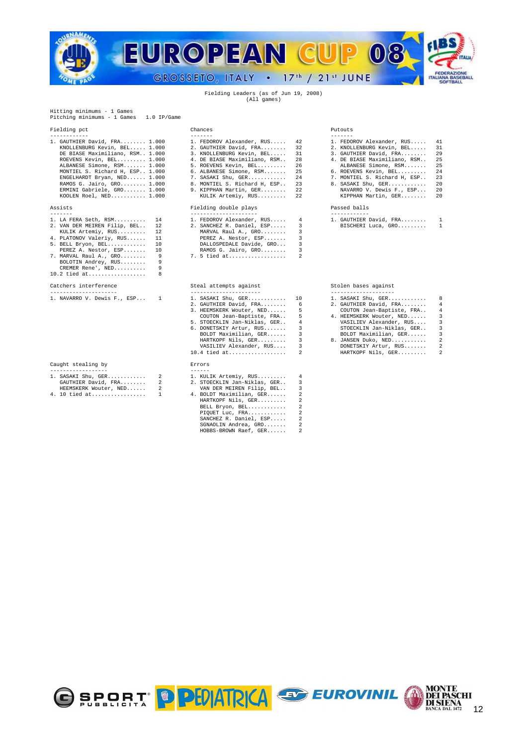

Fielding Leaders (as of Jun 19, 2008) (All games)

Hitting minimums - 1 Games Pitching minimums - 1 Games 1.0 IP/Game

| 1. GAUTHIER David, FRA 1.000      | 1. FEDOROV Alexander, RUS 42    | 1. FEDOROV Alexander, RUS 41    |  |
|-----------------------------------|---------------------------------|---------------------------------|--|
| KNOLLENBURG Kevin, BEL 1.000      | 2. GAUTHIER David, FRA 32       | 2. KNOLLENBURG Kevin, BEL 31    |  |
| DE BIASE Maximiliano, RSM 1.000   | 3. KNOLLENBURG Kevin, BEL 31    | 3. GAUTHIER David, FRA 29       |  |
| ROEVENS Kevin, BEL 1.000          | 4. DE BIASE Maximiliano, RSM 28 | 4. DE BIASE Maximiliano, RSM 25 |  |
| ALBANESE Simone, RSM 1.000        | 5. ROEVENS Kevin, BEL 26        | ALBANESE Simone, RSM 25         |  |
| MONTIEL S. Richard H. ESP., 1.000 | 6. ALBANESE Simone, RSM 25      | 6. ROEVENS Kevin, BEL 24        |  |
| $ENGELHARDT$ Bryan, $NED$ $1.000$ | 7. SASAKI Shu, GER 24           | 7. MONTIEL S. Richard H, ESP 23 |  |
| RAMOS G. Jairo, GRO 1.000         | 8. MONTIEL S. Richard H. ESP 23 | 8. SASAKI Shu. GER 20           |  |
| ERMINI Gabriele, GRO 1.000        | 9. KIPPHAN Martin, GER 22       | NAVARRO V. Dewis F., ESP 20     |  |
| KOOLEN Roel, NED $1.000$          | KULIK Artemiy, RUS 22           | KIPPHAN Martin, GER 20          |  |
|                                   |                                 |                                 |  |

| 1. LA FERA Seth, RSM 14<br>2. VAN DER MEIREN Filip, BEL 12<br>KULIK Artemiy, RUS 12<br>4. PLATONOV Valeriy, RUS 11<br>5. BELL Bryon, BEL 10<br>PEREZ A. Nestor, ESP 10 |  | 2. SANCHEZ R. Daniel, ESP 3<br>MARVAL Raul A., GRO 3<br>PEREZ A. Nestor, ESP 3<br>DALLOSPEDALE Davide, GRO 3<br>RAMOS G. Jairo, GRO 3<br>7. MARVAL Raul A., GRO 9 7. 5 tied at 2 |  | 1. FEDOROV Alexander, RUS 4 1. GAUTHIER David, FRA 1<br>BISCHERI Luca, GRO 1 |  |
|------------------------------------------------------------------------------------------------------------------------------------------------------------------------|--|----------------------------------------------------------------------------------------------------------------------------------------------------------------------------------|--|------------------------------------------------------------------------------|--|
| BOLOTIN Andrey, RUS 9<br>CREMER Rene', NED 9<br>10.2 tied at 8                                                                                                         |  |                                                                                                                                                                                  |  |                                                                              |  |
|                                                                                                                                                                        |  |                                                                                                                                                                                  |  |                                                                              |  |

| 1. NAVARRO V. Dewis F., ESP |  |  |  |
|-----------------------------|--|--|--|

# Caught stealing by

| ----------------      |                              |  |
|-----------------------|------------------------------|--|
| 1. SASAKI Shu, GER    | 1. KULIK Artemiy, RUS        |  |
| GAUTHIER David, FRA   | 2. STOECKLIN Jan-Niklas, GER |  |
| HEEMSKERK Wouter, NED | VAN DER MEIREN Filip, BEL    |  |

| HEEMSKERK WOULEF, NED | VAN DER MEIREN FIIIP, BED |  |
|-----------------------|---------------------------|--|
| 4. 10 tied at         | 4. BOLDT Maximilian, GER  |  |
|                       |                           |  |

Fielding pct Chances Putouts

# Assists Fielding double plays Passed balls

| 1. LA FERA Seth, RSM 14         | 1. FEDOROV Alexander, RUS 4 | 1. GAUTHIER D |
|---------------------------------|-----------------------------|---------------|
| 2. VAN DER MEIREN Filip, BEL 12 | 2. SANCHEZ R. Daniel, ESP 3 | BISCHERI L    |
| KULIK Artemiy, RUS 12           | MARVAL Raul A., GRO         |               |
| 4. PLATONOV Valeriy, RUS 11     | PEREZ A. Nestor, ESP 3      |               |
| 5. BELL Bryon, BEL 10           | DALLOSPEDALE Davide, GRO 3  |               |
| PEREZ A. Nestor, ESP 10         | RAMOS G. Jairo, GRO         |               |
| 7. MARVAL Raul A., GRO 9        |                             |               |

# Catchers interference Steal attempts against Stolen bases against

| 1. NAVARRO V. Dewis F., ESP 1 | 1. SASAKI Shu, GER 10        |                          | 1. SASAKI Shu, GER<br>8                             |  |
|-------------------------------|------------------------------|--------------------------|-----------------------------------------------------|--|
|                               | 2. GAUTHIER David, FRA 6     |                          | 2. GAUTHIER David, FRA<br>4                         |  |
|                               | 3. HEEMSKERK Wouter, NED 5   |                          | COUTON Jean-Baptiste, FRA<br>4                      |  |
|                               | COUTON Jean-Baptiste, FRA 5  |                          | 4. HEEMSKERK Wouter, NED<br>$\overline{\mathbf{3}}$ |  |
|                               | 5. STOECKLIN Jan-Niklas, GER | $\overline{4}$           | VASILIEV Alexander, RUS 3                           |  |
|                               | 6. DONETSKIY Artur, RUS      | $\overline{\mathbf{3}}$  | STOECKLIN Jan-Niklas, GER 3                         |  |
|                               | BOLDT Maximilian, GER        | $\overline{\phantom{a}}$ | BOLDT Maximilian, GER<br>$\overline{\phantom{a}3}$  |  |
|                               | HARTKOPF Nils, GER 3         |                          | 8. JANSEN Duko, NED<br>$\overline{2}$               |  |
|                               | VASILIEV Alexander, RUS 3    |                          | $2^{1}$<br>DONETSKIY Artur, RUS                     |  |
|                               |                              |                          | HARTKOPF Nils, GER 2                                |  |
| Caught stealing by            | Errors                       |                          |                                                     |  |
|                               |                              |                          |                                                     |  |
| $1.030375$ $Ch.,$ $GFD$       | $1$ $VIII$ $IV$ $N$ $n+1$    |                          |                                                     |  |

|  | 4. 10 tied at 1 |  | 4. BOLDT Maximilian, GER 2 |  |  |
|--|-----------------|--|----------------------------|--|--|
|  |                 |  | HARTKOPF Nils. GER 2       |  |  |
|  |                 |  | BELL Bryon, BEL 2          |  |  |
|  |                 |  | PIOUET Luc. FRA $2$        |  |  |
|  |                 |  | SANCHEZ R. Daniel, ESP 2   |  |  |
|  |                 |  | $SGNAOLIN$ Andrea, $GRO$ 2 |  |  |
|  |                 |  | HOBBS-BROWN Raef, GER 2    |  |  |

| 1. GAUTHIER David, FRA 1.000      | 1. FEDOROV Alexander, RUS 42    | 1. FEDOROV Alexander, RUS 41    |  |
|-----------------------------------|---------------------------------|---------------------------------|--|
| KNOLLENBURG Kevin, BEL 1.000      | 2. GAUTHIER David, FRA 32       | 2. KNOLLENBURG Kevin, BEL 31    |  |
| DE BIASE Maximiliano, RSM 1.000   | 3. KNOLLENBURG Kevin, BEL 31    | $3.$ GAUTHIER David, FRA 29     |  |
| ROEVENS Kevin, BEL 1.000          | 4. DE BIASE Maximiliano, RSM 28 | 4. DE BIASE Maximiliano, RSM 25 |  |
| ALBANESE Simone, RSM 1.000        | 5. ROEVENS Kevin, BEL 26        | ALBANESE Simone, RSM 25         |  |
| MONTIEL S. Richard H. ESP., 1.000 | 6. ALBANESE Simone, RSM 25      | 6. ROEVENS Kevin, BEL 24        |  |
| ENGELHARDT Bryan, NED 1.000       | 7. SASAKI Shu, GER 24           | 7. MONTIEL S. Richard H, ESP 23 |  |
| RAMOS G. Jairo, GRO 1.000         | 8. MONTIEL S. Richard H. ESP 23 | 8. SASAKI Shu. GER 20           |  |
| ERMINI Gabriele, GRO 1.000        | 9. KIPPHAN Martin, GER 22       | NAVARRO V. Dewis F., ESP 20     |  |
| KOOLEN Roel NED 1000              | KIII.TK Artemiy RIIS (22)       | KIPPHAN Martin GER 20           |  |

| . GAUTHIER David, FRA |  |  |  |  |  |  |
|-----------------------|--|--|--|--|--|--|
| BISCHERI Luca, GRO    |  |  |  |  |  |  |

| 1. SASAKI Shu, GER |  |  |  |  |  |  |
|--------------------|--|--|--|--|--|--|
| CAUTHIRP David FRA |  |  |  |  |  |  |

- 
- 
- 2. **HARTKOPF Nils, GER...........** 2